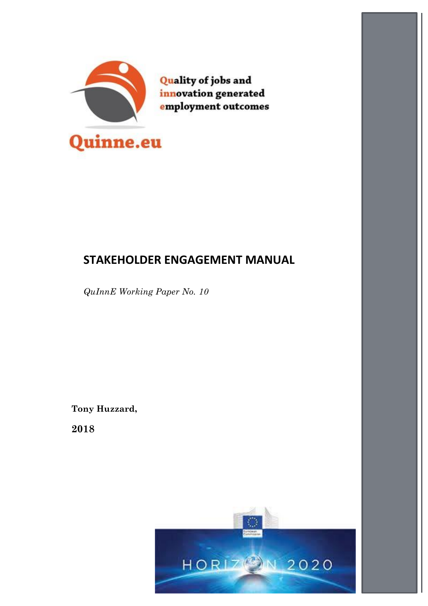

# **STAKEHOLDER ENGAGEMENT MANUAL**

*QuInnE Working Paper No. 10*

**Tony Huzzard,**

**2018**

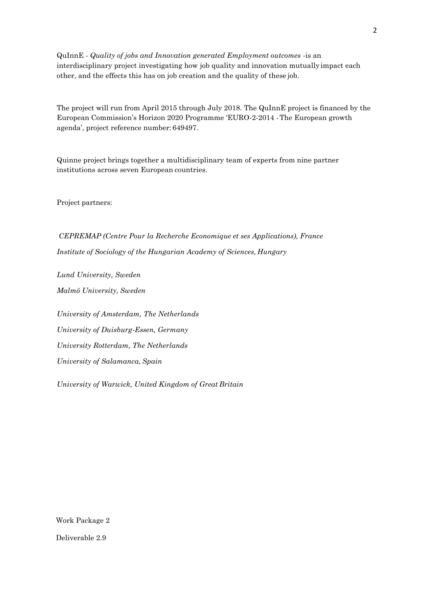QuInnE - *Quality of jobs and Innovation generated Employment outcomes* -is an interdisciplinary project investigating how job quality and innovation mutually impact each other, and the effects this has on job creation and the quality of these job.

The project will run from April 2015 through July 2018. The QuInnE project is financed by the European Commission's Horizon 2020 Programme 'EURO-2-2014 -The European growth agenda', project reference number: 649497.

Quinne project brings together a multidisciplinary team of experts from nine partner institutions across seven European countries.

Project partners:

*CEPREMAP (Centre Pour la Recherche Economique et ses Applications), France Institute of Sociology of the Hungarian Academy of Sciences, Hungary*

*Lund University, Sweden Malmö University, Sweden*

*University of Amsterdam, The Netherlands University of Duisburg-Essen, Germany University Rotterdam, The Netherlands University of Salamanca, Spain*

*University of Warwick, United Kingdom of Great Britain*

Work Package 2

Deliverable 2.9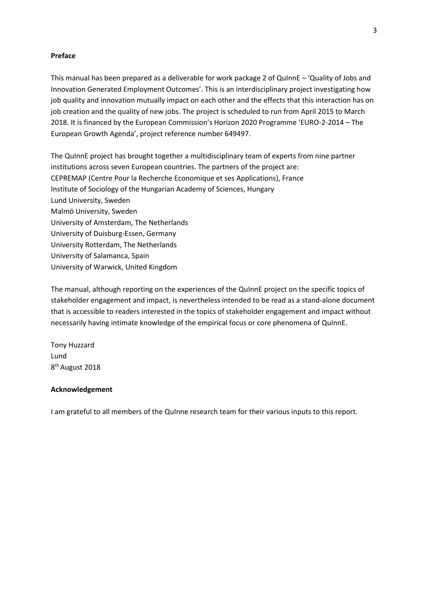#### **Preface**

This manual has been prepared as a deliverable for work package 2 of QuInnE – 'Quality of Jobs and Innovation Generated Employment Outcomes'. This is an interdisciplinary project investigating how job quality and innovation mutually impact on each other and the effects that this interaction has on job creation and the quality of new jobs. The project is scheduled to run from April 2015 to March 2018. It is financed by the European Commission's Horizon 2020 Programme 'EURO-2-2014 – The European Growth Agenda', project reference number 649497.

The QuInnE project has brought together a multidisciplinary team of experts from nine partner institutions across seven European countries. The partners of the project are: CEPREMAP (Centre Pour la Recherche Economique et ses Applications), France Institute of Sociology of the Hungarian Academy of Sciences, Hungary Lund University, Sweden Malmö University, Sweden University of Amsterdam, The Netherlands University of Duisburg-Essen, Germany University Rotterdam, The Netherlands University of Salamanca, Spain University of Warwick, United Kingdom

The manual, although reporting on the experiences of the QuInnE project on the specific topics of stakeholder engagement and impact, is nevertheless intended to be read as a stand-alone document that is accessible to readers interested in the topics of stakeholder engagement and impact without necessarily having intimate knowledge of the empirical focus or core phenomena of QuInnE.

Tony Huzzard Lund 8<sup>th</sup> August 2018

#### **Acknowledgement**

I am grateful to all members of the QuInne research team for their various inputs to this report.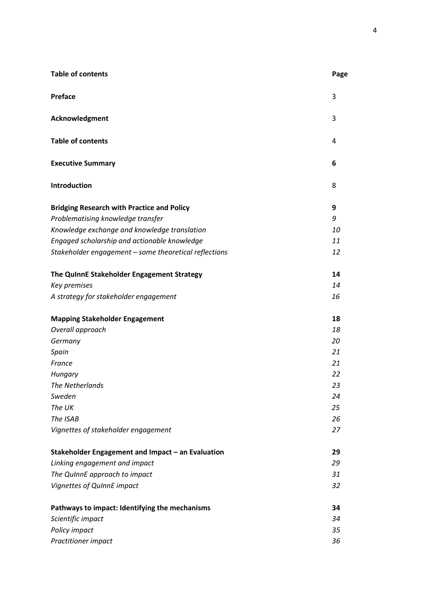| <b>Table of contents</b>                              | Page |
|-------------------------------------------------------|------|
| <b>Preface</b>                                        | 3    |
| Acknowledgment                                        | 3    |
| <b>Table of contents</b>                              | 4    |
| <b>Executive Summary</b>                              | 6    |
| Introduction                                          | 8    |
| <b>Bridging Research with Practice and Policy</b>     | 9    |
| Problematising knowledge transfer                     | 9    |
| Knowledge exchange and knowledge translation          | 10   |
| Engaged scholarship and actionable knowledge          | 11   |
| Stakeholder engagement - some theoretical reflections | 12   |
| The QuinnE Stakeholder Engagement Strategy            | 14   |
| Key premises                                          | 14   |
| A strategy for stakeholder engagement                 | 16   |
| <b>Mapping Stakeholder Engagement</b>                 | 18   |
| Overall approach                                      | 18   |
| Germany                                               | 20   |
| Spain                                                 | 21   |
| France                                                | 21   |
| Hungary                                               | 22   |
| The Netherlands                                       | 23   |
| Sweden                                                | 24   |
| The UK                                                | 25   |
| The ISAB                                              | 26   |
| Vignettes of stakeholder engagement                   | 27   |
| Stakeholder Engagement and Impact - an Evaluation     | 29   |
| Linking engagement and impact                         | 29   |
| The QuinnE approach to impact                         | 31   |
| Vignettes of QuInnE impact                            | 32   |
| Pathways to impact: Identifying the mechanisms        | 34   |
| Scientific impact                                     | 34   |
| Policy impact                                         | 35   |
| Practitioner impact                                   | 36   |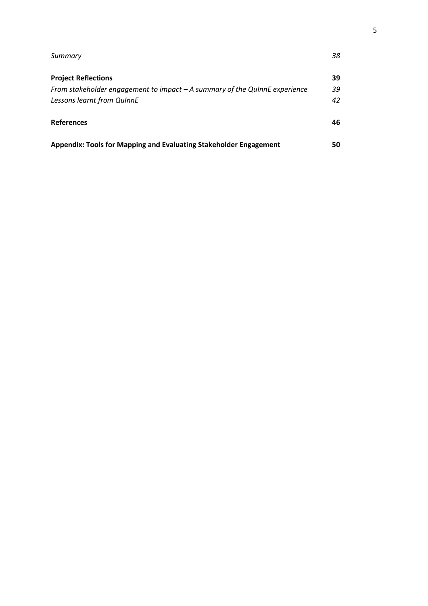| Summary                                                                     | 38 |
|-----------------------------------------------------------------------------|----|
| <b>Project Reflections</b>                                                  | 39 |
| From stakeholder engagement to impact $-A$ summary of the QuinnE experience | 39 |
| Lessons learnt from QuinnE                                                  | 42 |
| <b>References</b>                                                           | 46 |
| Appendix: Tools for Mapping and Evaluating Stakeholder Engagement           | 50 |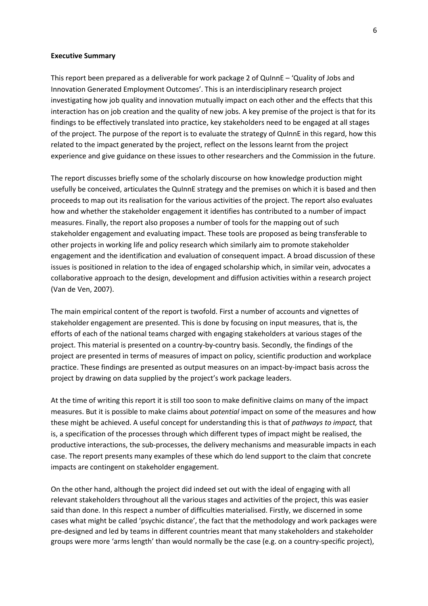#### **Executive Summary**

This report been prepared as a deliverable for work package 2 of QuInnE – 'Quality of Jobs and Innovation Generated Employment Outcomes'. This is an interdisciplinary research project investigating how job quality and innovation mutually impact on each other and the effects that this interaction has on job creation and the quality of new jobs. A key premise of the project is that for its findings to be effectively translated into practice, key stakeholders need to be engaged at all stages of the project. The purpose of the report is to evaluate the strategy of QuInnE in this regard, how this related to the impact generated by the project, reflect on the lessons learnt from the project experience and give guidance on these issues to other researchers and the Commission in the future.

The report discusses briefly some of the scholarly discourse on how knowledge production might usefully be conceived, articulates the QuInnE strategy and the premises on which it is based and then proceeds to map out its realisation for the various activities of the project. The report also evaluates how and whether the stakeholder engagement it identifies has contributed to a number of impact measures. Finally, the report also proposes a number of tools for the mapping out of such stakeholder engagement and evaluating impact. These tools are proposed as being transferable to other projects in working life and policy research which similarly aim to promote stakeholder engagement and the identification and evaluation of consequent impact. A broad discussion of these issues is positioned in relation to the idea of engaged scholarship which, in similar vein, advocates a collaborative approach to the design, development and diffusion activities within a research project (Van de Ven, 2007).

The main empirical content of the report is twofold. First a number of accounts and vignettes of stakeholder engagement are presented. This is done by focusing on input measures, that is, the efforts of each of the national teams charged with engaging stakeholders at various stages of the project. This material is presented on a country-by-country basis. Secondly, the findings of the project are presented in terms of measures of impact on policy, scientific production and workplace practice. These findings are presented as output measures on an impact-by-impact basis across the project by drawing on data supplied by the project's work package leaders.

At the time of writing this report it is still too soon to make definitive claims on many of the impact measures. But it is possible to make claims about *potential* impact on some of the measures and how these might be achieved. A useful concept for understanding this is that of *pathways to impact,* that is, a specification of the processes through which different types of impact might be realised, the productive interactions, the sub-processes, the delivery mechanisms and measurable impacts in each case. The report presents many examples of these which do lend support to the claim that concrete impacts are contingent on stakeholder engagement.

On the other hand, although the project did indeed set out with the ideal of engaging with all relevant stakeholders throughout all the various stages and activities of the project, this was easier said than done. In this respect a number of difficulties materialised. Firstly, we discerned in some cases what might be called 'psychic distance', the fact that the methodology and work packages were pre-designed and led by teams in different countries meant that many stakeholders and stakeholder groups were more 'arms length' than would normally be the case (e.g. on a country-specific project),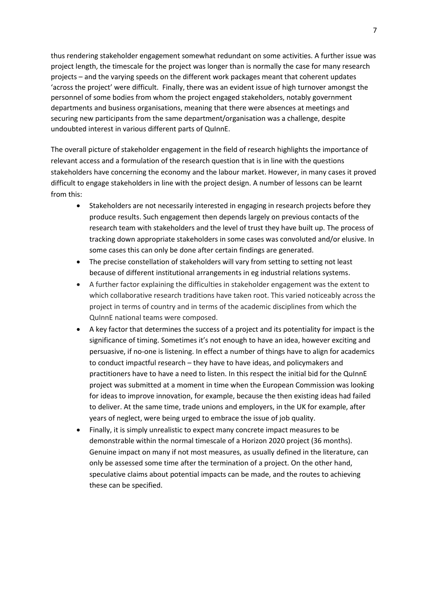thus rendering stakeholder engagement somewhat redundant on some activities. A further issue was project length, the timescale for the project was longer than is normally the case for many research projects – and the varying speeds on the different work packages meant that coherent updates 'across the project' were difficult. Finally, there was an evident issue of high turnover amongst the personnel of some bodies from whom the project engaged stakeholders, notably government departments and business organisations, meaning that there were absences at meetings and securing new participants from the same department/organisation was a challenge, despite undoubted interest in various different parts of QuInnE.

The overall picture of stakeholder engagement in the field of research highlights the importance of relevant access and a formulation of the research question that is in line with the questions stakeholders have concerning the economy and the labour market. However, in many cases it proved difficult to engage stakeholders in line with the project design. A number of lessons can be learnt from this:

- Stakeholders are not necessarily interested in engaging in research projects before they produce results. Such engagement then depends largely on previous contacts of the research team with stakeholders and the level of trust they have built up. The process of tracking down appropriate stakeholders in some cases was convoluted and/or elusive. In some cases this can only be done after certain findings are generated.
- The precise constellation of stakeholders will vary from setting to setting not least because of different institutional arrangements in eg industrial relations systems.
- A further factor explaining the difficulties in stakeholder engagement was the extent to which collaborative research traditions have taken root. This varied noticeably across the project in terms of country and in terms of the academic disciplines from which the QuInnE national teams were composed.
- A key factor that determines the success of a project and its potentiality for impact is the significance of timing. Sometimes it's not enough to have an idea, however exciting and persuasive, if no-one is listening. In effect a number of things have to align for academics to conduct impactful research – they have to have ideas, and policymakers and practitioners have to have a need to listen. In this respect the initial bid for the QuInnE project was submitted at a moment in time when the European Commission was looking for ideas to improve innovation, for example, because the then existing ideas had failed to deliver. At the same time, trade unions and employers, in the UK for example, after years of neglect, were being urged to embrace the issue of job quality.
- Finally, it is simply unrealistic to expect many concrete impact measures to be demonstrable within the normal timescale of a Horizon 2020 project (36 months). Genuine impact on many if not most measures, as usually defined in the literature, can only be assessed some time after the termination of a project. On the other hand, speculative claims about potential impacts can be made, and the routes to achieving these can be specified.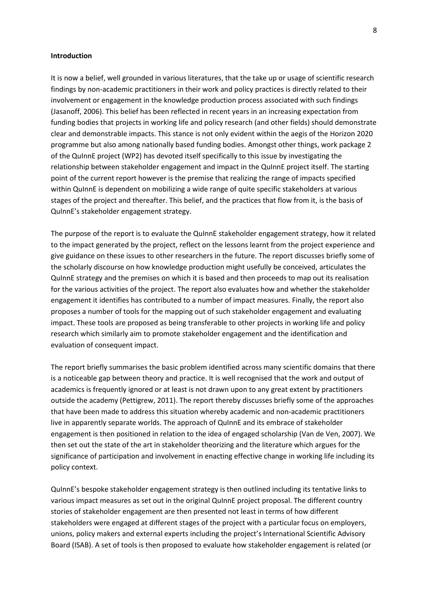#### **Introduction**

It is now a belief, well grounded in various literatures, that the take up or usage of scientific research findings by non-academic practitioners in their work and policy practices is directly related to their involvement or engagement in the knowledge production process associated with such findings (Jasanoff, 2006). This belief has been reflected in recent years in an increasing expectation from funding bodies that projects in working life and policy research (and other fields) should demonstrate clear and demonstrable impacts. This stance is not only evident within the aegis of the Horizon 2020 programme but also among nationally based funding bodies. Amongst other things, work package 2 of the QuInnE project (WP2) has devoted itself specifically to this issue by investigating the relationship between stakeholder engagement and impact in the QuInnE project itself. The starting point of the current report however is the premise that realizing the range of impacts specified within QuInnE is dependent on mobilizing a wide range of quite specific stakeholders at various stages of the project and thereafter. This belief, and the practices that flow from it, is the basis of QuInnE's stakeholder engagement strategy.

The purpose of the report is to evaluate the QuInnE stakeholder engagement strategy, how it related to the impact generated by the project, reflect on the lessons learnt from the project experience and give guidance on these issues to other researchers in the future. The report discusses briefly some of the scholarly discourse on how knowledge production might usefully be conceived, articulates the QuInnE strategy and the premises on which it is based and then proceeds to map out its realisation for the various activities of the project. The report also evaluates how and whether the stakeholder engagement it identifies has contributed to a number of impact measures. Finally, the report also proposes a number of tools for the mapping out of such stakeholder engagement and evaluating impact. These tools are proposed as being transferable to other projects in working life and policy research which similarly aim to promote stakeholder engagement and the identification and evaluation of consequent impact.

The report briefly summarises the basic problem identified across many scientific domains that there is a noticeable gap between theory and practice. It is well recognised that the work and output of academics is frequently ignored or at least is not drawn upon to any great extent by practitioners outside the academy (Pettigrew, 2011). The report thereby discusses briefly some of the approaches that have been made to address this situation whereby academic and non-academic practitioners live in apparently separate worlds. The approach of QuInnE and its embrace of stakeholder engagement is then positioned in relation to the idea of engaged scholarship (Van de Ven, 2007). We then set out the state of the art in stakeholder theorizing and the literature which argues for the significance of participation and involvement in enacting effective change in working life including its policy context.

QuInnE's bespoke stakeholder engagement strategy is then outlined including its tentative links to various impact measures as set out in the original QuInnE project proposal. The different country stories of stakeholder engagement are then presented not least in terms of how different stakeholders were engaged at different stages of the project with a particular focus on employers, unions, policy makers and external experts including the project's International Scientific Advisory Board (ISAB). A set of tools is then proposed to evaluate how stakeholder engagement is related (or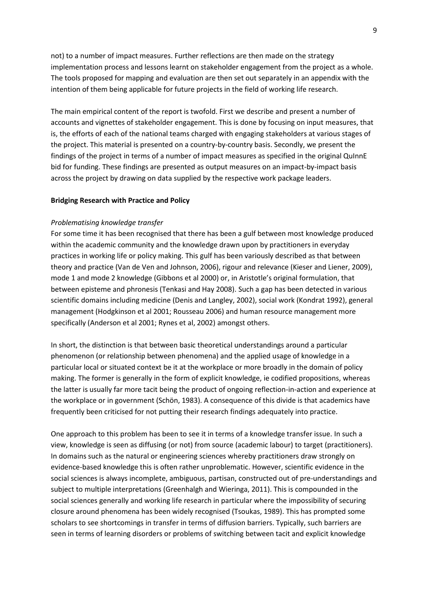not) to a number of impact measures. Further reflections are then made on the strategy implementation process and lessons learnt on stakeholder engagement from the project as a whole. The tools proposed for mapping and evaluation are then set out separately in an appendix with the intention of them being applicable for future projects in the field of working life research.

The main empirical content of the report is twofold. First we describe and present a number of accounts and vignettes of stakeholder engagement. This is done by focusing on input measures, that is, the efforts of each of the national teams charged with engaging stakeholders at various stages of the project. This material is presented on a country-by-country basis. Secondly, we present the findings of the project in terms of a number of impact measures as specified in the original QuInnE bid for funding. These findings are presented as output measures on an impact-by-impact basis across the project by drawing on data supplied by the respective work package leaders.

#### **Bridging Research with Practice and Policy**

#### *Problematising knowledge transfer*

For some time it has been recognised that there has been a gulf between most knowledge produced within the academic community and the knowledge drawn upon by practitioners in everyday practices in working life or policy making. This gulf has been variously described as that between theory and practice (Van de Ven and Johnson, 2006), rigour and relevance (Kieser and Liener, 2009), mode 1 and mode 2 knowledge (Gibbons et al 2000) or, in Aristotle's original formulation, that between episteme and phronesis (Tenkasi and Hay 2008). Such a gap has been detected in various scientific domains including medicine (Denis and Langley, 2002), social work (Kondrat 1992), general management (Hodgkinson et al 2001; Rousseau 2006) and human resource management more specifically (Anderson et al 2001; Rynes et al, 2002) amongst others.

In short, the distinction is that between basic theoretical understandings around a particular phenomenon (or relationship between phenomena) and the applied usage of knowledge in a particular local or situated context be it at the workplace or more broadly in the domain of policy making. The former is generally in the form of explicit knowledge, ie codified propositions, whereas the latter is usually far more tacit being the product of ongoing reflection-in-action and experience at the workplace or in government (Schön, 1983). A consequence of this divide is that academics have frequently been criticised for not putting their research findings adequately into practice.

One approach to this problem has been to see it in terms of a knowledge transfer issue. In such a view, knowledge is seen as diffusing (or not) from source (academic labour) to target (practitioners). In domains such as the natural or engineering sciences whereby practitioners draw strongly on evidence-based knowledge this is often rather unproblematic. However, scientific evidence in the social sciences is always incomplete, ambiguous, partisan, constructed out of pre-understandings and subject to multiple interpretations (Greenhalgh and Wieringa, 2011). This is compounded in the social sciences generally and working life research in particular where the impossibility of securing closure around phenomena has been widely recognised (Tsoukas, 1989). This has prompted some scholars to see shortcomings in transfer in terms of diffusion barriers. Typically, such barriers are seen in terms of learning disorders or problems of switching between tacit and explicit knowledge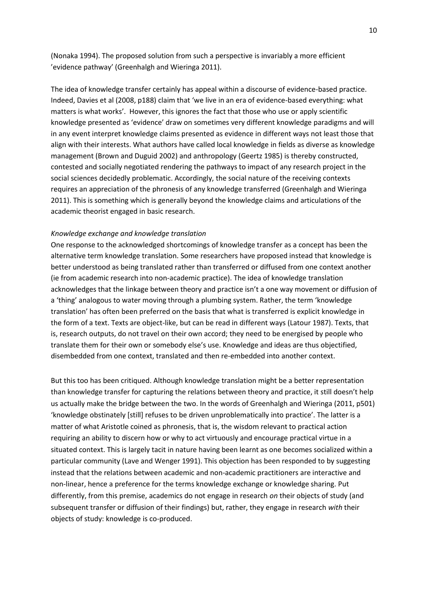(Nonaka 1994). The proposed solution from such a perspective is invariably a more efficient 'evidence pathway' (Greenhalgh and Wieringa 2011).

The idea of knowledge transfer certainly has appeal within a discourse of evidence-based practice. Indeed, Davies et al (2008, p188) claim that 'we live in an era of evidence-based everything: what matters is what works'. However, this ignores the fact that those who use or apply scientific knowledge presented as 'evidence' draw on sometimes very different knowledge paradigms and will in any event interpret knowledge claims presented as evidence in different ways not least those that align with their interests. What authors have called local knowledge in fields as diverse as knowledge management (Brown and Duguid 2002) and anthropology (Geertz 1985) is thereby constructed, contested and socially negotiated rendering the pathways to impact of any research project in the social sciences decidedly problematic. Accordingly, the social nature of the receiving contexts requires an appreciation of the phronesis of any knowledge transferred (Greenhalgh and Wieringa 2011). This is something which is generally beyond the knowledge claims and articulations of the academic theorist engaged in basic research.

#### *Knowledge exchange and knowledge translation*

One response to the acknowledged shortcomings of knowledge transfer as a concept has been the alternative term knowledge translation. Some researchers have proposed instead that knowledge is better understood as being translated rather than transferred or diffused from one context another (ie from academic research into non-academic practice). The idea of knowledge translation acknowledges that the linkage between theory and practice isn't a one way movement or diffusion of a 'thing' analogous to water moving through a plumbing system. Rather, the term 'knowledge translation' has often been preferred on the basis that what is transferred is explicit knowledge in the form of a text. Texts are object-like, but can be read in different ways (Latour 1987). Texts, that is, research outputs, do not travel on their own accord; they need to be energised by people who translate them for their own or somebody else's use. Knowledge and ideas are thus objectified, disembedded from one context, translated and then re-embedded into another context.

But this too has been critiqued. Although knowledge translation might be a better representation than knowledge transfer for capturing the relations between theory and practice, it still doesn't help us actually make the bridge between the two. In the words of Greenhalgh and Wieringa (2011, p501) 'knowledge obstinately [still] refuses to be driven unproblematically into practice'. The latter is a matter of what Aristotle coined as phronesis, that is, the wisdom relevant to practical action requiring an ability to discern how or why to act virtuously and encourage practical virtue in a situated context. This is largely tacit in nature having been learnt as one becomes socialized within a particular community (Lave and Wenger 1991). This objection has been responded to by suggesting instead that the relations between academic and non-academic practitioners are interactive and non-linear, hence a preference for the terms knowledge exchange or knowledge sharing. Put differently, from this premise, academics do not engage in research *on* their objects of study (and subsequent transfer or diffusion of their findings) but, rather, they engage in research *with* their objects of study: knowledge is co-produced.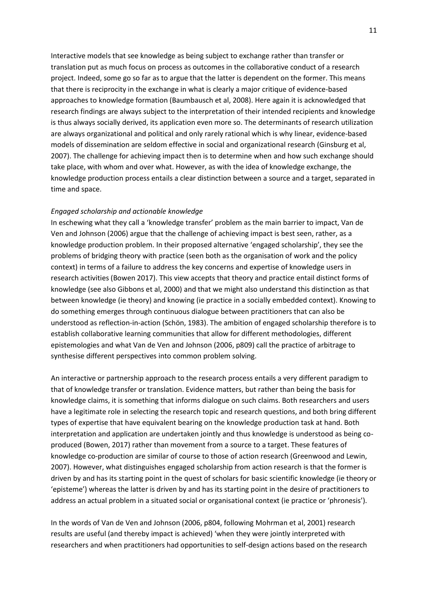Interactive models that see knowledge as being subject to exchange rather than transfer or translation put as much focus on process as outcomes in the collaborative conduct of a research project. Indeed, some go so far as to argue that the latter is dependent on the former. This means that there is reciprocity in the exchange in what is clearly a major critique of evidence-based approaches to knowledge formation (Baumbausch et al, 2008). Here again it is acknowledged that research findings are always subject to the interpretation of their intended recipients and knowledge is thus always socially derived, its application even more so. The determinants of research utilization are always organizational and political and only rarely rational which is why linear, evidence-based models of dissemination are seldom effective in social and organizational research (Ginsburg et al, 2007). The challenge for achieving impact then is to determine when and how such exchange should take place, with whom and over what. However, as with the idea of knowledge exchange, the knowledge production process entails a clear distinction between a source and a target, separated in time and space.

#### *Engaged scholarship and actionable knowledge*

In eschewing what they call a 'knowledge transfer' problem as the main barrier to impact, Van de Ven and Johnson (2006) argue that the challenge of achieving impact is best seen, rather, as a knowledge production problem. In their proposed alternative 'engaged scholarship', they see the problems of bridging theory with practice (seen both as the organisation of work and the policy context) in terms of a failure to address the key concerns and expertise of knowledge users in research activities (Bowen 2017). This view accepts that theory and practice entail distinct forms of knowledge (see also Gibbons et al, 2000) and that we might also understand this distinction as that between knowledge (ie theory) and knowing (ie practice in a socially embedded context). Knowing to do something emerges through continuous dialogue between practitioners that can also be understood as reflection-in-action (Schön, 1983). The ambition of engaged scholarship therefore is to establish collaborative learning communities that allow for different methodologies, different epistemologies and what Van de Ven and Johnson (2006, p809) call the practice of arbitrage to synthesise different perspectives into common problem solving.

An interactive or partnership approach to the research process entails a very different paradigm to that of knowledge transfer or translation. Evidence matters, but rather than being the basis for knowledge claims, it is something that informs dialogue on such claims. Both researchers and users have a legitimate role in selecting the research topic and research questions, and both bring different types of expertise that have equivalent bearing on the knowledge production task at hand. Both interpretation and application are undertaken jointly and thus knowledge is understood as being coproduced (Bowen, 2017) rather than movement from a source to a target. These features of knowledge co-production are similar of course to those of action research (Greenwood and Lewin, 2007). However, what distinguishes engaged scholarship from action research is that the former is driven by and has its starting point in the quest of scholars for basic scientific knowledge (ie theory or 'episteme') whereas the latter is driven by and has its starting point in the desire of practitioners to address an actual problem in a situated social or organisational context (ie practice or 'phronesis').

In the words of Van de Ven and Johnson (2006, p804, following Mohrman et al, 2001) research results are useful (and thereby impact is achieved) 'when they were jointly interpreted with researchers and when practitioners had opportunities to self-design actions based on the research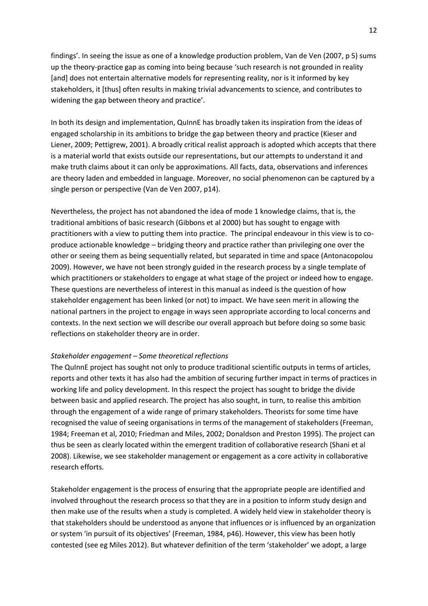findings'. In seeing the issue as one of a knowledge production problem, Van de Ven (2007, p 5) sums up the theory-practice gap as coming into being because 'such research is not grounded in reality [and] does not entertain alternative models for representing reality, nor is it informed by key stakeholders, it [thus] often results in making trivial advancements to science, and contributes to widening the gap between theory and practice'.

In both its design and implementation, QuInnE has broadly taken its inspiration from the ideas of engaged scholarship in its ambitions to bridge the gap between theory and practice (Kieser and Liener, 2009; Pettigrew, 2001). A broadly critical realist approach is adopted which accepts that there is a material world that exists outside our representations, but our attempts to understand it and make truth claims about it can only be approximations. All facts, data, observations and inferences are theory laden and embedded in language. Moreover, no social phenomenon can be captured by a single person or perspective (Van de Ven 2007, p14).

Nevertheless, the project has not abandoned the idea of mode 1 knowledge claims, that is, the traditional ambitions of basic research (Gibbons et al 2000) but has sought to engage with practitioners with a view to putting them into practice. The principal endeavour in this view is to coproduce actionable knowledge – bridging theory and practice rather than privileging one over the other or seeing them as being sequentially related, but separated in time and space (Antonacopolou 2009). However, we have not been strongly guided in the research process by a single template of which practitioners or stakeholders to engage at what stage of the project or indeed how to engage. These questions are nevertheless of interest in this manual as indeed is the question of how stakeholder engagement has been linked (or not) to impact. We have seen merit in allowing the national partners in the project to engage in ways seen appropriate according to local concerns and contexts. In the next section we will describe our overall approach but before doing so some basic reflections on stakeholder theory are in order.

#### *Stakeholder engagement – Some theoretical reflections*

The QuInnE project has sought not only to produce traditional scientific outputs in terms of articles, reports and other texts it has also had the ambition of securing further impact in terms of practices in working life and policy development. In this respect the project has sought to bridge the divide between basic and applied research. The project has also sought, in turn, to realise this ambition through the engagement of a wide range of primary stakeholders. Theorists for some time have recognised the value of seeing organisations in terms of the management of stakeholders (Freeman, 1984; Freeman et al, 2010; Friedman and Miles, 2002; Donaldson and Preston 1995). The project can thus be seen as clearly located within the emergent tradition of collaborative research (Shani et al 2008). Likewise, we see stakeholder management or engagement as a core activity in collaborative research efforts.

Stakeholder engagement is the process of ensuring that the appropriate people are identified and involved throughout the research process so that they are in a position to inform study design and then make use of the results when a study is completed. A widely held view in stakeholder theory is that stakeholders should be understood as anyone that influences or is influenced by an organization or system 'in pursuit of its objectives' (Freeman, 1984, p46). However, this view has been hotly contested (see eg Miles 2012). But whatever definition of the term 'stakeholder' we adopt, a large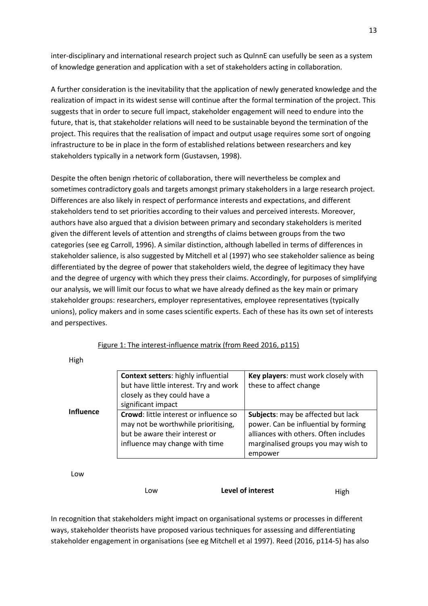inter-disciplinary and international research project such as QuInnE can usefully be seen as a system of knowledge generation and application with a set of stakeholders acting in collaboration.

A further consideration is the inevitability that the application of newly generated knowledge and the realization of impact in its widest sense will continue after the formal termination of the project. This suggests that in order to secure full impact, stakeholder engagement will need to endure into the future, that is, that stakeholder relations will need to be sustainable beyond the termination of the project. This requires that the realisation of impact and output usage requires some sort of ongoing infrastructure to be in place in the form of established relations between researchers and key stakeholders typically in a network form (Gustavsen, 1998).

Despite the often benign rhetoric of collaboration, there will nevertheless be complex and sometimes contradictory goals and targets amongst primary stakeholders in a large research project. Differences are also likely in respect of performance interests and expectations, and different stakeholders tend to set priorities according to their values and perceived interests. Moreover, authors have also argued that a division between primary and secondary stakeholders is merited given the different levels of attention and strengths of claims between groups from the two categories (see eg Carroll, 1996). A similar distinction, although labelled in terms of differences in stakeholder salience, is also suggested by Mitchell et al (1997) who see stakeholder salience as being differentiated by the degree of power that stakeholders wield, the degree of legitimacy they have and the degree of urgency with which they press their claims. Accordingly, for purposes of simplifying our analysis, we will limit our focus to what we have already defined as the key main or primary stakeholder groups: researchers, employer representatives, employee representatives (typically unions), policy makers and in some cases scientific experts. Each of these has its own set of interests and perspectives.

**Context setters**: highly influential but have little interest. Try and work closely as they could have a significant impact **Key players**: must work closely with these to affect change **Crowd**: little interest or influence so may not be worthwhile prioritising, but be aware their interest or influence may change with time **Subjects**: may be affected but lack power. Can be influential by forming alliances with others. Often includes marginalised groups you may wish to empower **Influence**

Figure 1: The interest-influence matrix (from Reed 2016, p115)

Low

High

Low **Level of interest High** 

In recognition that stakeholders might impact on organisational systems or processes in different ways, stakeholder theorists have proposed various techniques for assessing and differentiating stakeholder engagement in organisations (see eg Mitchell et al 1997). Reed (2016, p114-5) has also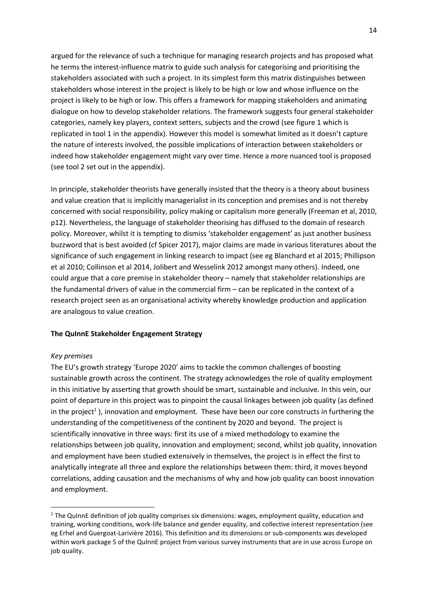argued for the relevance of such a technique for managing research projects and has proposed what he terms the interest-influence matrix to guide such analysis for categorising and prioritising the stakeholders associated with such a project. In its simplest form this matrix distinguishes between stakeholders whose interest in the project is likely to be high or low and whose influence on the project is likely to be high or low. This offers a framework for mapping stakeholders and animating dialogue on how to develop stakeholder relations. The framework suggests four general stakeholder categories, namely key players, context setters, subjects and the crowd (see figure 1 which is replicated in tool 1 in the appendix). However this model is somewhat limited as it doesn't capture the nature of interests involved, the possible implications of interaction between stakeholders or indeed how stakeholder engagement might vary over time. Hence a more nuanced tool is proposed (see tool 2 set out in the appendix).

In principle, stakeholder theorists have generally insisted that the theory is a theory about business and value creation that is implicitly managerialist in its conception and premises and is not thereby concerned with social responsibility, policy making or capitalism more generally (Freeman et al, 2010, p12). Nevertheless, the language of stakeholder theorising has diffused to the domain of research policy. Moreover, whilst it is tempting to dismiss 'stakeholder engagement' as just another business buzzword that is best avoided (cf Spicer 2017), major claims are made in various literatures about the significance of such engagement in linking research to impact (see eg Blanchard et al 2015; Phillipson et al 2010; Collinson et al 2014, Jolibert and Wesselink 2012 amongst many others). Indeed, one could argue that a core premise in stakeholder theory – namely that stakeholder relationships are the fundamental drivers of value in the commercial firm – can be replicated in the context of a research project seen as an organisational activity whereby knowledge production and application are analogous to value creation.

## **The QuInnE Stakeholder Engagement Strategy**

#### *Key premises*

**.** 

The EU's growth strategy 'Europe 2020' aims to tackle the common challenges of boosting sustainable growth across the continent. The strategy acknowledges the role of quality employment in this initiative by asserting that growth should be smart, sustainable and inclusive. In this vein, our point of departure in this project was to pinpoint the causal linkages between job quality (as defined in the project<sup>1</sup>), innovation and employment. These have been our core constructs in furthering the understanding of the competitiveness of the continent by 2020 and beyond. The project is scientifically innovative in three ways: first its use of a mixed methodology to examine the relationships between job quality, innovation and employment; second, whilst job quality, innovation and employment have been studied extensively in themselves, the project is in effect the first to analytically integrate all three and explore the relationships between them: third, it moves beyond correlations, adding causation and the mechanisms of why and how job quality can boost innovation and employment.

 $1$  The QuInnE definition of job quality comprises six dimensions: wages, employment quality, education and training, working conditions, work-life balance and gender equality, and collective interest representation (see eg Erhel and Guergoat-Larivière 2016). This definition and its dimensions or sub-components was developed within work package 5 of the QuInnE project from various survey instruments that are in use across Europe on job quality.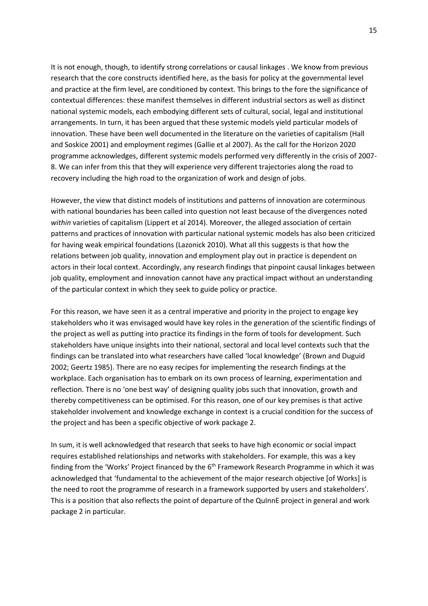It is not enough, though, to identify strong correlations or causal linkages . We know from previous research that the core constructs identified here, as the basis for policy at the governmental level and practice at the firm level, are conditioned by context. This brings to the fore the significance of contextual differences: these manifest themselves in different industrial sectors as well as distinct national systemic models, each embodying different sets of cultural, social, legal and institutional arrangements. In turn, it has been argued that these systemic models yield particular models of innovation. These have been well documented in the literature on the varieties of capitalism (Hall and Soskice 2001) and employment regimes (Gallie et al 2007). As the call for the Horizon 2020 programme acknowledges, different systemic models performed very differently in the crisis of 2007- 8. We can infer from this that they will experience very different trajectories along the road to recovery including the high road to the organization of work and design of jobs.

However, the view that distinct models of institutions and patterns of innovation are coterminous with national boundaries has been called into question not least because of the divergences noted *within* varieties of capitalism (Lippert et al 2014). Moreover, the alleged association of certain patterns and practices of innovation with particular national systemic models has also been criticized for having weak empirical foundations (Lazonick 2010). What all this suggests is that how the relations between job quality, innovation and employment play out in practice is dependent on actors in their local context. Accordingly, any research findings that pinpoint causal linkages between job quality, employment and innovation cannot have any practical impact without an understanding of the particular context in which they seek to guide policy or practice.

For this reason, we have seen it as a central imperative and priority in the project to engage key stakeholders who it was envisaged would have key roles in the generation of the scientific findings of the project as well as putting into practice its findings in the form of tools for development. Such stakeholders have unique insights into their national, sectoral and local level contexts such that the findings can be translated into what researchers have called 'local knowledge' (Brown and Duguid 2002; Geertz 1985). There are no easy recipes for implementing the research findings at the workplace. Each organisation has to embark on its own process of learning, experimentation and reflection. There is no 'one best way' of designing quality jobs such that innovation, growth and thereby competitiveness can be optimised. For this reason, one of our key premises is that active stakeholder involvement and knowledge exchange in context is a crucial condition for the success of the project and has been a specific objective of work package 2.

In sum, it is well acknowledged that research that seeks to have high economic or social impact requires established relationships and networks with stakeholders. For example, this was a key finding from the 'Works' Project financed by the 6<sup>th</sup> Framework Research Programme in which it was acknowledged that 'fundamental to the achievement of the major research objective [of Works] is the need to root the programme of research in a framework supported by users and stakeholders'. This is a position that also reflects the point of departure of the QuInnE project in general and work package 2 in particular.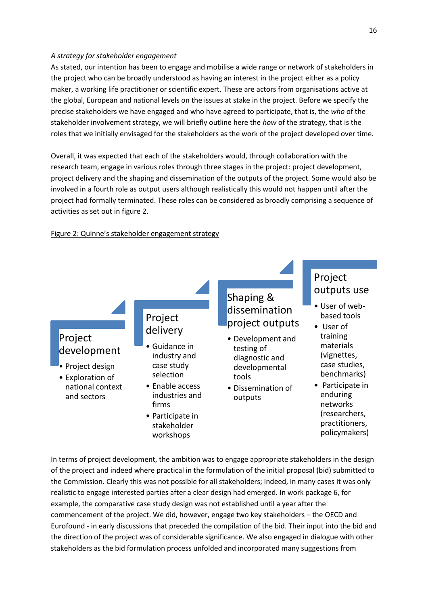#### *A strategy for stakeholder engagement*

As stated, our intention has been to engage and mobilise a wide range or network of stakeholders in the project who can be broadly understood as having an interest in the project either as a policy maker, a working life practitioner or scientific expert. These are actors from organisations active at the global, European and national levels on the issues at stake in the project. Before we specify the precise stakeholders we have engaged and who have agreed to participate, that is, the *who* of the stakeholder involvement strategy, we will briefly outline here the *how* of the strategy, that is the roles that we initially envisaged for the stakeholders as the work of the project developed over time.

Overall, it was expected that each of the stakeholders would, through collaboration with the research team, engage in various roles through three stages in the project: project development, project delivery and the shaping and dissemination of the outputs of the project. Some would also be involved in a fourth role as output users although realistically this would not happen until after the project had formally terminated. These roles can be considered as broadly comprising a sequence of activities as set out in figure 2.

# Figure 2: Quinne's stakeholder engagement strategy



In terms of project development, the ambition was to engage appropriate stakeholders in the design of the project and indeed where practical in the formulation of the initial proposal (bid) submitted to the Commission. Clearly this was not possible for all stakeholders; indeed, in many cases it was only realistic to engage interested parties after a clear design had emerged. In work package 6, for example, the comparative case study design was not established until a year after the commencement of the project. We did, however, engage two key stakeholders – the OECD and Eurofound - in early discussions that preceded the compilation of the bid. Their input into the bid and the direction of the project was of considerable significance. We also engaged in dialogue with other stakeholders as the bid formulation process unfolded and incorporated many suggestions from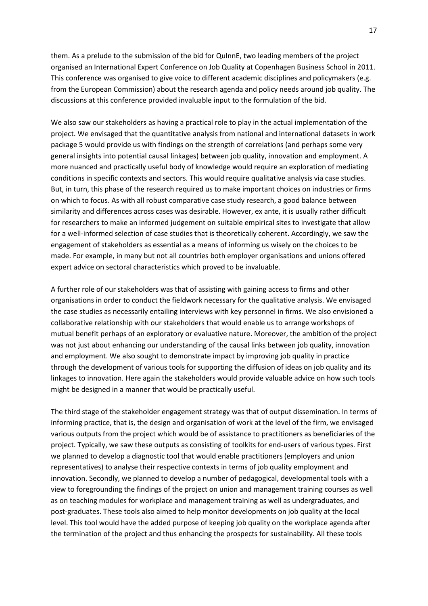them. As a prelude to the submission of the bid for QuInnE, two leading members of the project organised an International Expert Conference on Job Quality at Copenhagen Business School in 2011. This conference was organised to give voice to different academic disciplines and policymakers (e.g. from the European Commission) about the research agenda and policy needs around job quality. The discussions at this conference provided invaluable input to the formulation of the bid.

We also saw our stakeholders as having a practical role to play in the actual implementation of the project. We envisaged that the quantitative analysis from national and international datasets in work package 5 would provide us with findings on the strength of correlations (and perhaps some very general insights into potential causal linkages) between job quality, innovation and employment. A more nuanced and practically useful body of knowledge would require an exploration of mediating conditions in specific contexts and sectors. This would require qualitative analysis via case studies. But, in turn, this phase of the research required us to make important choices on industries or firms on which to focus. As with all robust comparative case study research, a good balance between similarity and differences across cases was desirable. However, ex ante, it is usually rather difficult for researchers to make an informed judgement on suitable empirical sites to investigate that allow for a well-informed selection of case studies that is theoretically coherent. Accordingly, we saw the engagement of stakeholders as essential as a means of informing us wisely on the choices to be made. For example, in many but not all countries both employer organisations and unions offered expert advice on sectoral characteristics which proved to be invaluable.

A further role of our stakeholders was that of assisting with gaining access to firms and other organisations in order to conduct the fieldwork necessary for the qualitative analysis. We envisaged the case studies as necessarily entailing interviews with key personnel in firms. We also envisioned a collaborative relationship with our stakeholders that would enable us to arrange workshops of mutual benefit perhaps of an exploratory or evaluative nature. Moreover, the ambition of the project was not just about enhancing our understanding of the causal links between job quality, innovation and employment. We also sought to demonstrate impact by improving job quality in practice through the development of various tools for supporting the diffusion of ideas on job quality and its linkages to innovation. Here again the stakeholders would provide valuable advice on how such tools might be designed in a manner that would be practically useful.

The third stage of the stakeholder engagement strategy was that of output dissemination. In terms of informing practice, that is, the design and organisation of work at the level of the firm, we envisaged various outputs from the project which would be of assistance to practitioners as beneficiaries of the project. Typically, we saw these outputs as consisting of toolkits for end-users of various types. First we planned to develop a diagnostic tool that would enable practitioners (employers and union representatives) to analyse their respective contexts in terms of job quality employment and innovation. Secondly, we planned to develop a number of pedagogical, developmental tools with a view to foregrounding the findings of the project on union and management training courses as well as on teaching modules for workplace and management training as well as undergraduates, and post-graduates. These tools also aimed to help monitor developments on job quality at the local level. This tool would have the added purpose of keeping job quality on the workplace agenda after the termination of the project and thus enhancing the prospects for sustainability. All these tools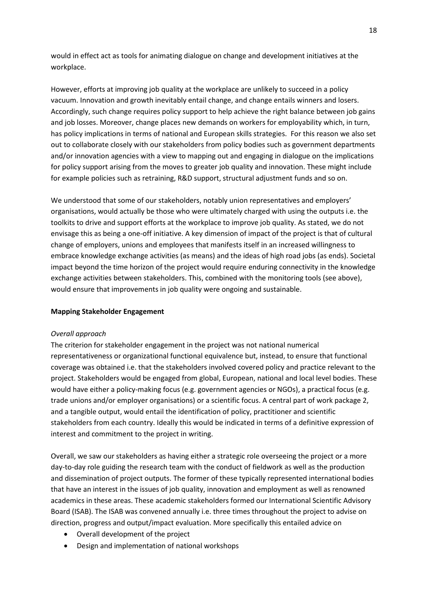would in effect act as tools for animating dialogue on change and development initiatives at the workplace.

However, efforts at improving job quality at the workplace are unlikely to succeed in a policy vacuum. Innovation and growth inevitably entail change, and change entails winners and losers. Accordingly, such change requires policy support to help achieve the right balance between job gains and job losses. Moreover, change places new demands on workers for employability which, in turn, has policy implications in terms of national and European skills strategies. For this reason we also set out to collaborate closely with our stakeholders from policy bodies such as government departments and/or innovation agencies with a view to mapping out and engaging in dialogue on the implications for policy support arising from the moves to greater job quality and innovation. These might include for example policies such as retraining, R&D support, structural adjustment funds and so on.

We understood that some of our stakeholders, notably union representatives and employers' organisations, would actually be those who were ultimately charged with using the outputs i.e. the toolkits to drive and support efforts at the workplace to improve job quality. As stated, we do not envisage this as being a one-off initiative. A key dimension of impact of the project is that of cultural change of employers, unions and employees that manifests itself in an increased willingness to embrace knowledge exchange activities (as means) and the ideas of high road jobs (as ends). Societal impact beyond the time horizon of the project would require enduring connectivity in the knowledge exchange activities between stakeholders. This, combined with the monitoring tools (see above), would ensure that improvements in job quality were ongoing and sustainable.

## **Mapping Stakeholder Engagement**

# *Overall approach*

The criterion for stakeholder engagement in the project was not national numerical representativeness or organizational functional equivalence but, instead, to ensure that functional coverage was obtained i.e. that the stakeholders involved covered policy and practice relevant to the project. Stakeholders would be engaged from global, European, national and local level bodies. These would have either a policy-making focus (e.g. government agencies or NGOs), a practical focus (e.g. trade unions and/or employer organisations) or a scientific focus. A central part of work package 2, and a tangible output, would entail the identification of policy, practitioner and scientific stakeholders from each country. Ideally this would be indicated in terms of a definitive expression of interest and commitment to the project in writing.

Overall, we saw our stakeholders as having either a strategic role overseeing the project or a more day-to-day role guiding the research team with the conduct of fieldwork as well as the production and dissemination of project outputs. The former of these typically represented international bodies that have an interest in the issues of job quality, innovation and employment as well as renowned academics in these areas. These academic stakeholders formed our International Scientific Advisory Board (ISAB). The ISAB was convened annually i.e. three times throughout the project to advise on direction, progress and output/impact evaluation. More specifically this entailed advice on

- Overall development of the project
- Design and implementation of national workshops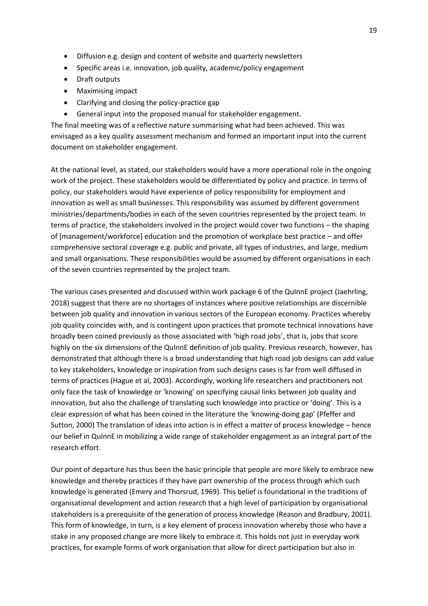- Diffusion e.g. design and content of website and quarterly newsletters
- Specific areas i.e. innovation, job quality, academic/policy engagement
- Draft outputs
- Maximising impact
- Clarifying and closing the policy-practice gap
- General input into the proposed manual for stakeholder engagement.

The final meeting was of a reflective nature summarising what had been achieved. This was envisaged as a key quality assessment mechanism and formed an important input into the current document on stakeholder engagement.

At the national level, as stated, our stakeholders would have a more operational role in the ongoing work of the project. These stakeholders would be differentiated by policy and practice. In terms of policy, our stakeholders would have experience of policy responsibility for employment and innovation as well as small businesses. This responsibility was assumed by different government ministries/departments/bodies in each of the seven countries represented by the project team. In terms of practice, the stakeholders involved in the project would cover two functions – the shaping of [management/workforce] education and the promotion of workplace best practice – and offer comprehensive sectoral coverage e.g. public and private, all types of industries, and large, medium and small organisations. These responsibilities would be assumed by different organisations in each of the seven countries represented by the project team.

The various cases presented and discussed within work package 6 of the QuInnE project (Jaehrling, 2018) suggest that there are no shortages of instances where positive relationships are discernible between job quality and innovation in various sectors of the European economy. Practices whereby job quality coincides with, and is contingent upon practices that promote technical innovations have broadly been coined previously as those associated with 'high road jobs', that is, jobs that score highly on the six dimensions of the QuInnE definition of job quality. Previous research, however, has demonstrated that although there is a broad understanding that high road job designs can add value to key stakeholders, knowledge or inspiration from such designs cases is far from well diffused in terms of practices (Hague et al, 2003). Accordingly, working life researchers and practitioners not only face the task of knowledge or 'knowing' on specifying causal links between job quality and innovation, but also the challenge of translating such knowledge into practice or 'doing'. This is a clear expression of what has been coined in the literature the 'knowing-doing gap' (Pfeffer and Sutton, 2000) The translation of ideas into action is in effect a matter of process knowledge – hence our belief in QuInnE in mobilizing a wide range of stakeholder engagement as an integral part of the research effort.

Our point of departure has thus been the basic principle that people are more likely to embrace new knowledge and thereby practices if they have part ownership of the process through which such knowledge is generated (Emery and Thorsrud, 1969). This belief is foundational in the traditions of organisational development and action research that a high level of participation by organisational stakeholders is a prerequisite of the generation of process knowledge (Reason and Bradbury, 2001). This form of knowledge, in turn, is a key element of process innovation whereby those who have a stake in any proposed change are more likely to embrace it. This holds not just in everyday work practices, for example forms of work organisation that allow for direct participation but also in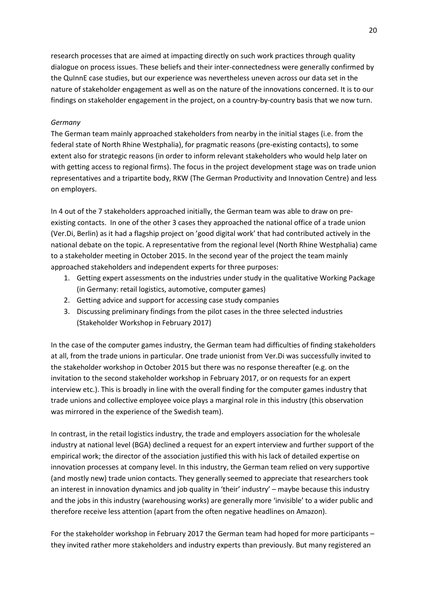research processes that are aimed at impacting directly on such work practices through quality dialogue on process issues. These beliefs and their inter-connectedness were generally confirmed by the QuInnE case studies, but our experience was nevertheless uneven across our data set in the nature of stakeholder engagement as well as on the nature of the innovations concerned. It is to our findings on stakeholder engagement in the project, on a country-by-country basis that we now turn.

# *Germany*

The German team mainly approached stakeholders from nearby in the initial stages (i.e. from the federal state of North Rhine Westphalia), for pragmatic reasons (pre-existing contacts), to some extent also for strategic reasons (in order to inform relevant stakeholders who would help later on with getting access to regional firms). The focus in the project development stage was on trade union representatives and a tripartite body, RKW (The German Productivity and Innovation Centre) and less on employers.

In 4 out of the 7 stakeholders approached initially, the German team was able to draw on preexisting contacts. In one of the other 3 cases they approached the national office of a trade union (Ver.Di, Berlin) as it had a flagship project on 'good digital work' that had contributed actively in the national debate on the topic. A representative from the regional level (North Rhine Westphalia) came to a stakeholder meeting in October 2015. In the second year of the project the team mainly approached stakeholders and independent experts for three purposes:

- 1. Getting expert assessments on the industries under study in the qualitative Working Package (in Germany: retail logistics, automotive, computer games)
- 2. Getting advice and support for accessing case study companies
- 3. Discussing preliminary findings from the pilot cases in the three selected industries (Stakeholder Workshop in February 2017)

In the case of the computer games industry, the German team had difficulties of finding stakeholders at all, from the trade unions in particular. One trade unionist from Ver.Di was successfully invited to the stakeholder workshop in October 2015 but there was no response thereafter (e.g. on the invitation to the second stakeholder workshop in February 2017, or on requests for an expert interview etc.). This is broadly in line with the overall finding for the computer games industry that trade unions and collective employee voice plays a marginal role in this industry (this observation was mirrored in the experience of the Swedish team).

In contrast, in the retail logistics industry, the trade and employers association for the wholesale industry at national level (BGA) declined a request for an expert interview and further support of the empirical work; the director of the association justified this with his lack of detailed expertise on innovation processes at company level. In this industry, the German team relied on very supportive (and mostly new) trade union contacts. They generally seemed to appreciate that researchers took an interest in innovation dynamics and job quality in 'their' industry' – maybe because this industry and the jobs in this industry (warehousing works) are generally more 'invisible' to a wider public and therefore receive less attention (apart from the often negative headlines on Amazon).

For the stakeholder workshop in February 2017 the German team had hoped for more participants – they invited rather more stakeholders and industry experts than previously. But many registered an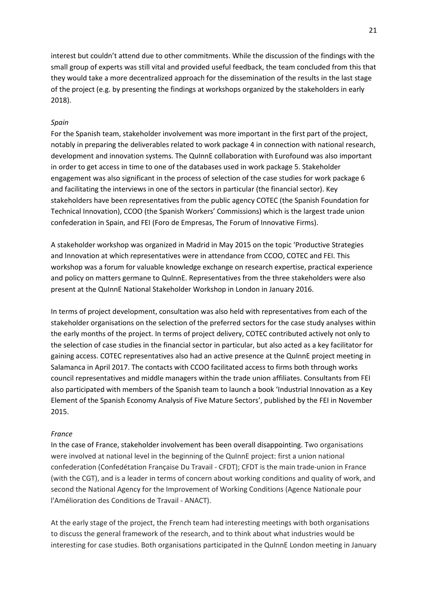interest but couldn't attend due to other commitments. While the discussion of the findings with the small group of experts was still vital and provided useful feedback, the team concluded from this that they would take a more decentralized approach for the dissemination of the results in the last stage of the project (e.g. by presenting the findings at workshops organized by the stakeholders in early 2018).

#### *Spain*

For the Spanish team, stakeholder involvement was more important in the first part of the project, notably in preparing the deliverables related to work package 4 in connection with national research, development and innovation systems. The QuInnE collaboration with Eurofound was also important in order to get access in time to one of the databases used in work package 5. Stakeholder engagement was also significant in the process of selection of the case studies for work package 6 and facilitating the interviews in one of the sectors in particular (the financial sector). Key stakeholders have been representatives from the public agency COTEC (the Spanish Foundation for Technical Innovation), CCOO (the Spanish Workers' Commissions) which is the largest trade union confederation in Spain, and FEI (Foro de Empresas, The Forum of Innovative Firms).

A stakeholder workshop was organized in Madrid in May 2015 on the topic 'Productive Strategies and Innovation at which representatives were in attendance from CCOO, COTEC and FEI. This workshop was a forum for valuable knowledge exchange on research expertise, practical experience and policy on matters germane to QuInnE. Representatives from the three stakeholders were also present at the QuInnE National Stakeholder Workshop in London in January 2016.

In terms of project development, consultation was also held with representatives from each of the stakeholder organisations on the selection of the preferred sectors for the case study analyses within the early months of the project. In terms of project delivery, COTEC contributed actively not only to the selection of case studies in the financial sector in particular, but also acted as a key facilitator for gaining access. COTEC representatives also had an active presence at the QuInnE project meeting in Salamanca in April 2017. The contacts with CCOO facilitated access to firms both through works council representatives and middle managers within the trade union affiliates. Consultants from FEI also participated with members of the Spanish team to launch a book 'Industrial Innovation as a Key Element of the Spanish Economy Analysis of Five Mature Sectors', published by the FEI in November 2015.

#### *France*

In the case of France, stakeholder involvement has been overall disappointing. Two organisations were involved at national level in the beginning of the QuInnE project: first a union national confederation (Confedétation Française Du Travail - CFDT); CFDT is the main trade-union in France (with the CGT), and is a leader in terms of concern about working conditions and quality of work, and second the National Agency for the Improvement of Working Conditions (Agence Nationale pour l'Amélioration des Conditions de Travail - ANACT).

At the early stage of the project, the French team had interesting meetings with both organisations to discuss the general framework of the research, and to think about what industries would be interesting for case studies. Both organisations participated in the QuInnE London meeting in January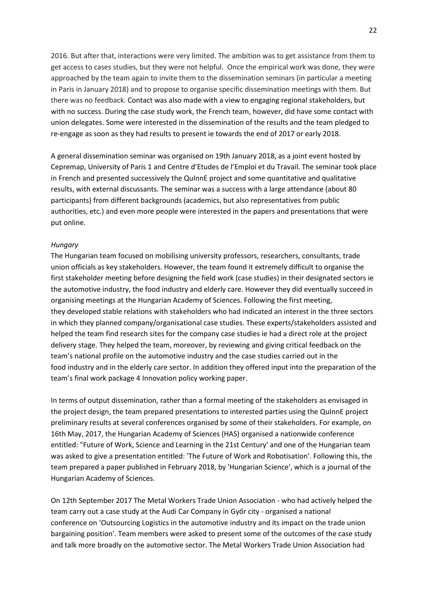2016. But after that, interactions were very limited. The ambition was to get assistance from them to get access to cases studies, but they were not helpful. Once the empirical work was done, they were approached by the team again to invite them to the dissemination seminars (in particular a meeting in Paris in January 2018) and to propose to organise specific dissemination meetings with them. But there was no feedback. Contact was also made with a view to engaging regional stakeholders, but with no success. During the case study work, the French team, however, did have some contact with union delegates. Some were interested in the dissemination of the results and the team pledged to re-engage as soon as they had results to present ie towards the end of 2017 or early 2018.

A general dissemination seminar was organised on 19th January 2018, as a joint event hosted by Cepremap, University of Paris 1 and Centre d'Etudes de l'Emploi et du Travail. The seminar took place in French and presented successively the QuInnE project and some quantitative and qualitative results, with external discussants. The seminar was a success with a large attendance (about 80 participants) from different backgrounds (academics, but also representatives from public authorities, etc.) and even more people were interested in the papers and presentations that were put online.

#### *Hungary*

The Hungarian team focused on mobilising university professors, researchers, consultants, trade union officials as key stakeholders. However, the team found it extremely difficult to organise the first stakeholder meeting before designing the field work (case studies) in their designated sectors ie the automotive industry, the food industry and elderly care. However they did eventually succeed in organising meetings at the Hungarian Academy of Sciences. Following the first meeting, they developed stable relations with stakeholders who had indicated an interest in the three sectors in which they planned company/organisational case studies. These experts/stakeholders assisted and helped the team find research sites for the company case studies ie had a direct role at the project delivery stage. They helped the team, moreover, by reviewing and giving critical feedback on the team's national profile on the automotive industry and the case studies carried out in the food industry and in the elderly care sector. In addition they offered input into the preparation of the team's final work package 4 Innovation policy working paper.

In terms of output dissemination, rather than a formal meeting of the stakeholders as envisaged in the project design, the team prepared presentations to interested parties using the QuInnE project preliminary results at several conferences organised by some of their stakeholders. For example, on 16th May, 2017, the Hungarian Academy of Sciences (HAS) organised a nationwide conference entitled: "Future of Work, Science and Learning in the 21st Century' and one of the Hungarian team was asked to give a presentation entitled: 'The Future of Work and Robotisation'. Following this, the team prepared a paper published in February 2018, by 'Hungarian Science', which is a journal of the Hungarian Academy of Sciences.

On 12th September 2017 The Metal Workers Trade Union Association - who had actively helped the team carry out a case study at the Audi Car Company in Győr city - organised a national conference on 'Outsourcing Logistics in the automotive industry and its impact on the trade union bargaining position'. Team members were asked to present some of the outcomes of the case study and talk more broadly on the automotive sector. The Metal Workers Trade Union Association had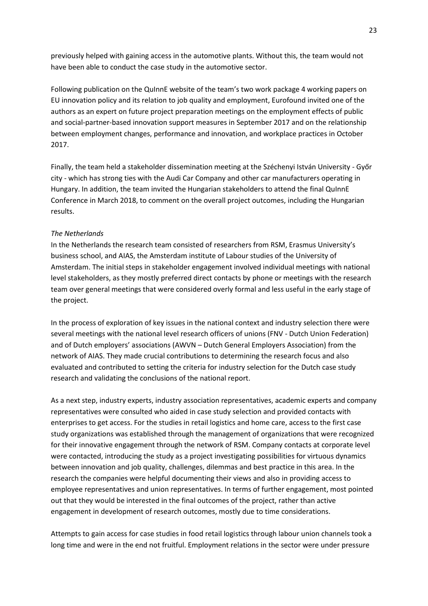previously helped with gaining access in the automotive plants. Without this, the team would not have been able to conduct the case study in the automotive sector.

Following publication on the QuInnE website of the team's two work package 4 working papers on EU innovation policy and its relation to job quality and employment, Eurofound invited one of the authors as an expert on future project preparation meetings on the employment effects of public and social-partner-based innovation support measures in September 2017 and on the relationship between employment changes, performance and innovation, and workplace practices in October 2017.

Finally, the team held a stakeholder dissemination meeting at the Széchenyi István University - Győr city - which has strong ties with the Audi Car Company and other car manufacturers operating in Hungary. In addition, the team invited the Hungarian stakeholders to attend the final QuInnE Conference in March 2018, to comment on the overall project outcomes, including the Hungarian results.

## *The Netherlands*

In the Netherlands the research team consisted of researchers from RSM, Erasmus University's business school, and AIAS, the Amsterdam institute of Labour studies of the University of Amsterdam. The initial steps in stakeholder engagement involved individual meetings with national level stakeholders, as they mostly preferred direct contacts by phone or meetings with the research team over general meetings that were considered overly formal and less useful in the early stage of the project.

In the process of exploration of key issues in the national context and industry selection there were several meetings with the national level research officers of unions (FNV - Dutch Union Federation) and of Dutch employers' associations (AWVN – Dutch General Employers Association) from the network of AIAS. They made crucial contributions to determining the research focus and also evaluated and contributed to setting the criteria for industry selection for the Dutch case study research and validating the conclusions of the national report.

As a next step, industry experts, industry association representatives, academic experts and company representatives were consulted who aided in case study selection and provided contacts with enterprises to get access. For the studies in retail logistics and home care, access to the first case study organizations was established through the management of organizations that were recognized for their innovative engagement through the network of RSM. Company contacts at corporate level were contacted, introducing the study as a project investigating possibilities for virtuous dynamics between innovation and job quality, challenges, dilemmas and best practice in this area. In the research the companies were helpful documenting their views and also in providing access to employee representatives and union representatives. In terms of further engagement, most pointed out that they would be interested in the final outcomes of the project, rather than active engagement in development of research outcomes, mostly due to time considerations.

Attempts to gain access for case studies in food retail logistics through labour union channels took a long time and were in the end not fruitful. Employment relations in the sector were under pressure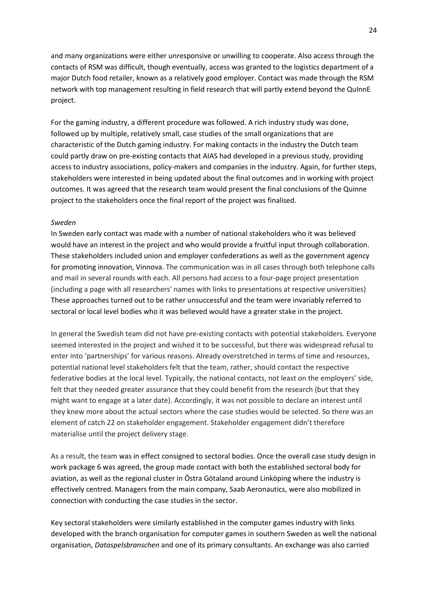and many organizations were either unresponsive or unwilling to cooperate. Also access through the contacts of RSM was difficult, though eventually, access was granted to the logistics department of a major Dutch food retailer, known as a relatively good employer. Contact was made through the RSM network with top management resulting in field research that will partly extend beyond the QuInnE project.

For the gaming industry, a different procedure was followed. A rich industry study was done, followed up by multiple, relatively small, case studies of the small organizations that are characteristic of the Dutch gaming industry. For making contacts in the industry the Dutch team could partly draw on pre-existing contacts that AIAS had developed in a previous study, providing access to industry associations, policy-makers and companies in the industry. Again, for further steps, stakeholders were interested in being updated about the final outcomes and in working with project outcomes. It was agreed that the research team would present the final conclusions of the Quinne project to the stakeholders once the final report of the project was finalised.

#### *Sweden*

In Sweden early contact was made with a number of national stakeholders who it was believed would have an interest in the project and who would provide a fruitful input through collaboration. These stakeholders included union and employer confederations as well as the government agency for promoting innovation, Vinnova. The communication was in all cases through both telephone calls and mail in several rounds with each. All persons had access to a four-page project presentation (including a page with all researchers' names with links to presentations at respective universities) These approaches turned out to be rather unsuccessful and the team were invariably referred to sectoral or local level bodies who it was believed would have a greater stake in the project.

In general the Swedish team did not have pre-existing contacts with potential stakeholders. Everyone seemed interested in the project and wished it to be successful, but there was widespread refusal to enter into 'partnerships' for various reasons. Already overstretched in terms of time and resources, potential national level stakeholders felt that the team, rather, should contact the respective federative bodies at the local level. Typically, the national contacts, not least on the employers' side, felt that they needed greater assurance that they could benefit from the research (but that they might want to engage at a later date). Accordingly, it was not possible to declare an interest until they knew more about the actual sectors where the case studies would be selected. So there was an element of catch 22 on stakeholder engagement. Stakeholder engagement didn't therefore materialise until the project delivery stage.

As a result, the team was in effect consigned to sectoral bodies. Once the overall case study design in work package 6 was agreed, the group made contact with both the established sectoral body for aviation, as well as the regional cluster in Östra Götaland around Linköping where the industry is effectively centred. Managers from the main company, Saab Aeronautics, were also mobilized in connection with conducting the case studies in the sector.

Key sectoral stakeholders were similarly established in the computer games industry with links developed with the branch organisation for computer games in southern Sweden as well the national organisation, *Dataspelsbranschen* and one of its primary consultants. An exchange was also carried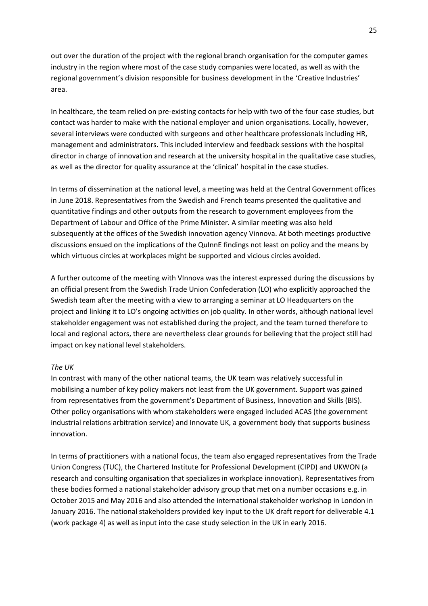out over the duration of the project with the regional branch organisation for the computer games industry in the region where most of the case study companies were located, as well as with the regional government's division responsible for business development in the 'Creative Industries' area.

In healthcare, the team relied on pre-existing contacts for help with two of the four case studies, but contact was harder to make with the national employer and union organisations. Locally, however, several interviews were conducted with surgeons and other healthcare professionals including HR, management and administrators. This included interview and feedback sessions with the hospital director in charge of innovation and research at the university hospital in the qualitative case studies, as well as the director for quality assurance at the 'clinical' hospital in the case studies.

In terms of dissemination at the national level, a meeting was held at the Central Government offices in June 2018. Representatives from the Swedish and French teams presented the qualitative and quantitative findings and other outputs from the research to government employees from the Department of Labour and Office of the Prime Minister. A similar meeting was also held subsequently at the offices of the Swedish innovation agency Vinnova. At both meetings productive discussions ensued on the implications of the QuInnE findings not least on policy and the means by which virtuous circles at workplaces might be supported and vicious circles avoided.

A further outcome of the meeting with VInnova was the interest expressed during the discussions by an official present from the Swedish Trade Union Confederation (LO) who explicitly approached the Swedish team after the meeting with a view to arranging a seminar at LO Headquarters on the project and linking it to LO's ongoing activities on job quality. In other words, although national level stakeholder engagement was not established during the project, and the team turned therefore to local and regional actors, there are nevertheless clear grounds for believing that the project still had impact on key national level stakeholders.

## *The UK*

In contrast with many of the other national teams, the UK team was relatively successful in mobilising a number of key policy makers not least from the UK government. Support was gained from representatives from the government's Department of Business, Innovation and Skills (BIS). Other policy organisations with whom stakeholders were engaged included ACAS (the government industrial relations arbitration service) and Innovate UK, a government body that supports business innovation.

In terms of practitioners with a national focus, the team also engaged representatives from the Trade Union Congress (TUC), the Chartered Institute for Professional Development (CIPD) and UKWON (a research and consulting organisation that specializes in workplace innovation). Representatives from these bodies formed a national stakeholder advisory group that met on a number occasions e.g. in October 2015 and May 2016 and also attended the international stakeholder workshop in London in January 2016. The national stakeholders provided key input to the UK draft report for deliverable 4.1 (work package 4) as well as input into the case study selection in the UK in early 2016.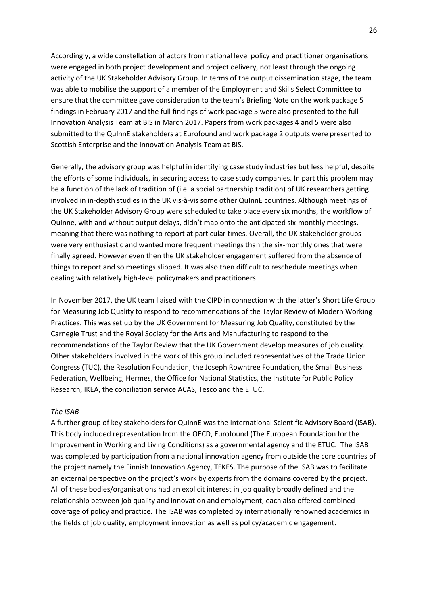Accordingly, a wide constellation of actors from national level policy and practitioner organisations were engaged in both project development and project delivery, not least through the ongoing activity of the UK Stakeholder Advisory Group. In terms of the output dissemination stage, the team was able to mobilise the support of a member of the Employment and Skills Select Committee to ensure that the committee gave consideration to the team's Briefing Note on the work package 5 findings in February 2017 and the full findings of work package 5 were also presented to the full Innovation Analysis Team at BIS in March 2017. Papers from work packages 4 and 5 were also submitted to the QuInnE stakeholders at Eurofound and work package 2 outputs were presented to Scottish Enterprise and the Innovation Analysis Team at BIS.

Generally, the advisory group was helpful in identifying case study industries but less helpful, despite the efforts of some individuals, in securing access to case study companies. In part this problem may be a function of the lack of tradition of (i.e. a social partnership tradition) of UK researchers getting involved in in-depth studies in the UK vis-à-vis some other QuInnE countries. Although meetings of the UK Stakeholder Advisory Group were scheduled to take place every six months, the workflow of QuInne, with and without output delays, didn't map onto the anticipated six-monthly meetings, meaning that there was nothing to report at particular times. Overall, the UK stakeholder groups were very enthusiastic and wanted more frequent meetings than the six-monthly ones that were finally agreed. However even then the UK stakeholder engagement suffered from the absence of things to report and so meetings slipped. It was also then difficult to reschedule meetings when dealing with relatively high-level policymakers and practitioners.

In November 2017, the UK team liaised with the CIPD in connection with the latter's Short Life Group for Measuring Job Quality to respond to recommendations of the Taylor Review of Modern Working Practices. This was set up by the UK Government for Measuring Job Quality, constituted by the Carnegie Trust and the Royal Society for the Arts and Manufacturing to respond to the recommendations of the Taylor Review that the UK Government develop measures of job quality. Other stakeholders involved in the work of this group included representatives of the Trade Union Congress (TUC), the Resolution Foundation, the Joseph Rowntree Foundation, the Small Business Federation, Wellbeing, Hermes, the Office for National Statistics, the Institute for Public Policy Research, IKEA, the conciliation service ACAS, Tesco and the ETUC.

#### *The ISAB*

A further group of key stakeholders for QuInnE was the International Scientific Advisory Board (ISAB). This body included representation from the OECD, Eurofound (The European Foundation for the Improvement in Working and Living Conditions) as a governmental agency and the ETUC. The ISAB was completed by participation from a national innovation agency from outside the core countries of the project namely the Finnish Innovation Agency, TEKES. The purpose of the ISAB was to facilitate an external perspective on the project's work by experts from the domains covered by the project. All of these bodies/organisations had an explicit interest in job quality broadly defined and the relationship between job quality and innovation and employment; each also offered combined coverage of policy and practice. The ISAB was completed by internationally renowned academics in the fields of job quality, employment innovation as well as policy/academic engagement.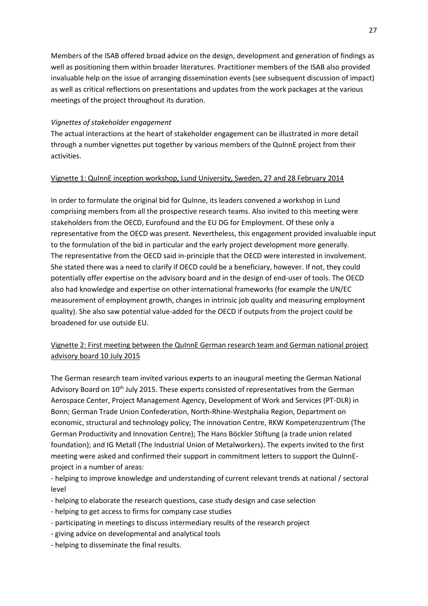Members of the ISAB offered broad advice on the design, development and generation of findings as well as positioning them within broader literatures. Practitioner members of the ISAB also provided invaluable help on the issue of arranging dissemination events (see subsequent discussion of impact) as well as critical reflections on presentations and updates from the work packages at the various meetings of the project throughout its duration.

# *Vignettes of stakeholder engagement*

The actual interactions at the heart of stakeholder engagement can be illustrated in more detail through a number vignettes put together by various members of the QuInnE project from their activities.

# Vignette 1: QuInnE inception workshop, Lund University, Sweden, 27 and 28 February 2014

In order to formulate the original bid for QuInne, its leaders convened a workshop in Lund comprising members from all the prospective research teams. Also invited to this meeting were stakeholders from the OECD, Eurofound and the EU DG for Employment. Of these only a representative from the OECD was present. Nevertheless, this engagement provided invaluable input to the formulation of the bid in particular and the early project development more generally. The representative from the OECD said in-principle that the OECD were interested in involvement. She stated there was a need to clarify if OECD could be a beneficiary, however. If not, they could potentially offer expertise on the advisory board and in the design of end-user of tools. The OECD also had knowledge and expertise on other international frameworks (for example the UN/EC measurement of employment growth, changes in intrinsic job quality and measuring employment quality). She also saw potential value-added for the OECD if outputs from the project could be broadened for use outside EU.

# Vignette 2: First meeting between the QuInnE German research team and German national project advisory board 10 July 2015

The German research team invited various experts to an inaugural meeting the German National Advisory Board on 10<sup>th</sup> July 2015. These experts consisted of representatives from the German Aerospace Center, Project Management Agency, Development of Work and Services (PT-DLR) in Bonn; German Trade Union Confederation, North-Rhine-Westphalia Region, Department on economic, structural and technology policy; The innovation Centre, RKW Kompetenzzentrum (The German Productivity and Innovation Centre); The Hans Böckler Stiftung (a trade union related foundation); and IG Metall (The Industrial Union of Metalworkers). The experts invited to the first meeting were asked and confirmed their support in commitment letters to support the QuInnEproject in a number of areas:

- helping to improve knowledge and understanding of current relevant trends at national / sectoral level

- helping to elaborate the research questions, case study design and case selection
- helping to get access to firms for company case studies
- participating in meetings to discuss intermediary results of the research project
- giving advice on developmental and analytical tools
- helping to disseminate the final results.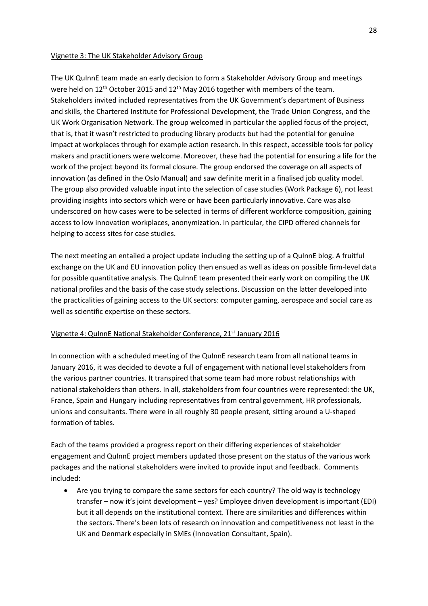## Vignette 3: The UK Stakeholder Advisory Group

The UK QuInnE team made an early decision to form a Stakeholder Advisory Group and meetings were held on 12<sup>th</sup> October 2015 and 12<sup>th</sup> May 2016 together with members of the team. Stakeholders invited included representatives from the UK Government's department of Business and skills, the Chartered Institute for Professional Development, the Trade Union Congress, and the UK Work Organisation Network. The group welcomed in particular the applied focus of the project, that is, that it wasn't restricted to producing library products but had the potential for genuine impact at workplaces through for example action research. In this respect, accessible tools for policy makers and practitioners were welcome. Moreover, these had the potential for ensuring a life for the work of the project beyond its formal closure. The group endorsed the coverage on all aspects of innovation (as defined in the Oslo Manual) and saw definite merit in a finalised job quality model. The group also provided valuable input into the selection of case studies (Work Package 6), not least providing insights into sectors which were or have been particularly innovative. Care was also underscored on how cases were to be selected in terms of different workforce composition, gaining access to low innovation workplaces, anonymization. In particular, the CIPD offered channels for helping to access sites for case studies.

The next meeting an entailed a project update including the setting up of a QuInnE blog. A fruitful exchange on the UK and EU innovation policy then ensued as well as ideas on possible firm-level data for possible quantitative analysis. The QuInnE team presented their early work on compiling the UK national profiles and the basis of the case study selections. Discussion on the latter developed into the practicalities of gaining access to the UK sectors: computer gaming, aerospace and social care as well as scientific expertise on these sectors.

## Vignette 4: QuInnE National Stakeholder Conference, 21<sup>st</sup> January 2016

In connection with a scheduled meeting of the QuInnE research team from all national teams in January 2016, it was decided to devote a full of engagement with national level stakeholders from the various partner countries. It transpired that some team had more robust relationships with national stakeholders than others. In all, stakeholders from four countries were represented: the UK, France, Spain and Hungary including representatives from central government, HR professionals, unions and consultants. There were in all roughly 30 people present, sitting around a U-shaped formation of tables.

Each of the teams provided a progress report on their differing experiences of stakeholder engagement and QuInnE project members updated those present on the status of the various work packages and the national stakeholders were invited to provide input and feedback. Comments included:

 Are you trying to compare the same sectors for each country? The old way is technology transfer – now it's joint development – yes? Employee driven development is important (EDI) but it all depends on the institutional context. There are similarities and differences within the sectors. There's been lots of research on innovation and competitiveness not least in the UK and Denmark especially in SMEs (Innovation Consultant, Spain).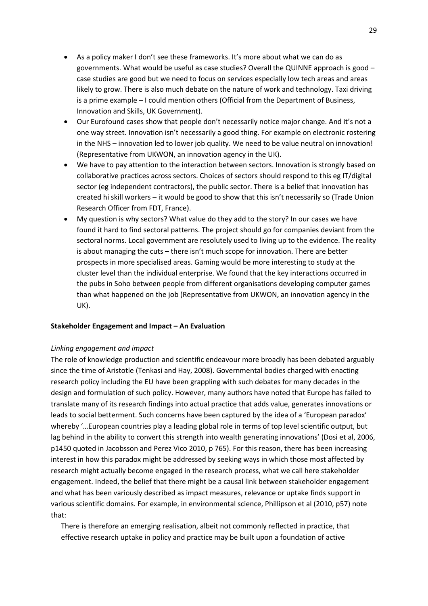- As a policy maker I don't see these frameworks. It's more about what we can do as governments. What would be useful as case studies? Overall the QUINNE approach is good – case studies are good but we need to focus on services especially low tech areas and areas likely to grow. There is also much debate on the nature of work and technology. Taxi driving is a prime example – I could mention others (Official from the Department of Business, Innovation and Skills, UK Government).
- Our Eurofound cases show that people don't necessarily notice major change. And it's not a one way street. Innovation isn't necessarily a good thing. For example on electronic rostering in the NHS – innovation led to lower job quality. We need to be value neutral on innovation! (Representative from UKWON, an innovation agency in the UK).
- We have to pay attention to the interaction between sectors. Innovation is strongly based on collaborative practices across sectors. Choices of sectors should respond to this eg IT/digital sector (eg independent contractors), the public sector. There is a belief that innovation has created hi skill workers – it would be good to show that this isn't necessarily so (Trade Union Research Officer from FDT, France).
- My question is why sectors? What value do they add to the story? In our cases we have found it hard to find sectoral patterns. The project should go for companies deviant from the sectoral norms. Local government are resolutely used to living up to the evidence. The reality is about managing the cuts – there isn't much scope for innovation. There are better prospects in more specialised areas. Gaming would be more interesting to study at the cluster level than the individual enterprise. We found that the key interactions occurred in the pubs in Soho between people from different organisations developing computer games than what happened on the job (Representative from UKWON, an innovation agency in the UK).

## **Stakeholder Engagement and Impact – An Evaluation**

#### *Linking engagement and impact*

The role of knowledge production and scientific endeavour more broadly has been debated arguably since the time of Aristotle (Tenkasi and Hay, 2008). Governmental bodies charged with enacting research policy including the EU have been grappling with such debates for many decades in the design and formulation of such policy. However, many authors have noted that Europe has failed to translate many of its research findings into actual practice that adds value, generates innovations or leads to social betterment. Such concerns have been captured by the idea of a 'European paradox' whereby '…European countries play a leading global role in terms of top level scientific output, but lag behind in the ability to convert this strength into wealth generating innovations' (Dosi et al, 2006, p1450 quoted in Jacobsson and Perez Vico 2010, p 765). For this reason, there has been increasing interest in how this paradox might be addressed by seeking ways in which those most affected by research might actually become engaged in the research process, what we call here stakeholder engagement. Indeed, the belief that there might be a causal link between stakeholder engagement and what has been variously described as impact measures, relevance or uptake finds support in various scientific domains. For example, in environmental science, Phillipson et al (2010, p57) note that:

There is therefore an emerging realisation, albeit not commonly reflected in practice, that effective research uptake in policy and practice may be built upon a foundation of active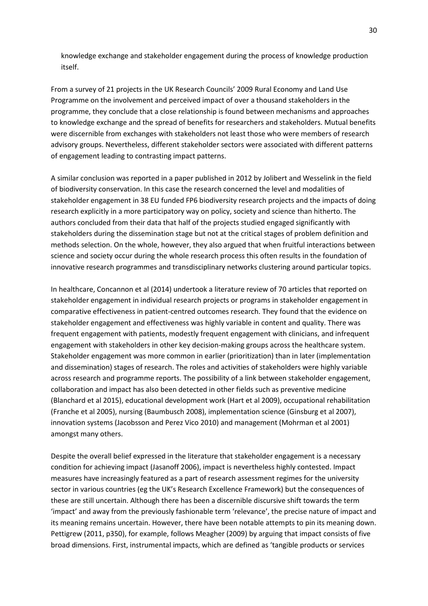knowledge exchange and stakeholder engagement during the process of knowledge production itself.

From a survey of 21 projects in the UK Research Councils' 2009 Rural Economy and Land Use Programme on the involvement and perceived impact of over a thousand stakeholders in the programme, they conclude that a close relationship is found between mechanisms and approaches to knowledge exchange and the spread of benefits for researchers and stakeholders. Mutual benefits were discernible from exchanges with stakeholders not least those who were members of research advisory groups. Nevertheless, different stakeholder sectors were associated with different patterns of engagement leading to contrasting impact patterns.

A similar conclusion was reported in a paper published in 2012 by Jolibert and Wesselink in the field of biodiversity conservation. In this case the research concerned the level and modalities of stakeholder engagement in 38 EU funded FP6 biodiversity research projects and the impacts of doing research explicitly in a more participatory way on policy, society and science than hitherto. The authors concluded from their data that half of the projects studied engaged significantly with stakeholders during the dissemination stage but not at the critical stages of problem definition and methods selection. On the whole, however, they also argued that when fruitful interactions between science and society occur during the whole research process this often results in the foundation of innovative research programmes and transdisciplinary networks clustering around particular topics.

In healthcare, Concannon et al (2014) undertook a literature review of 70 articles that reported on stakeholder engagement in individual research projects or programs in stakeholder engagement in comparative effectiveness in patient-centred outcomes research. They found that the evidence on stakeholder engagement and effectiveness was highly variable in content and quality. There was frequent engagement with patients, modestly frequent engagement with clinicians, and infrequent engagement with stakeholders in other key decision-making groups across the healthcare system. Stakeholder engagement was more common in earlier (prioritization) than in later (implementation and dissemination) stages of research. The roles and activities of stakeholders were highly variable across research and programme reports. The possibility of a link between stakeholder engagement, collaboration and impact has also been detected in other fields such as preventive medicine (Blanchard et al 2015), educational development work (Hart et al 2009), occupational rehabilitation (Franche et al 2005), nursing (Baumbusch 2008), implementation science (Ginsburg et al 2007), innovation systems (Jacobsson and Perez Vico 2010) and management (Mohrman et al 2001) amongst many others.

Despite the overall belief expressed in the literature that stakeholder engagement is a necessary condition for achieving impact (Jasanoff 2006), impact is nevertheless highly contested. Impact measures have increasingly featured as a part of research assessment regimes for the university sector in various countries (eg the UK's Research Excellence Framework) but the consequences of these are still uncertain. Although there has been a discernible discursive shift towards the term 'impact' and away from the previously fashionable term 'relevance', the precise nature of impact and its meaning remains uncertain. However, there have been notable attempts to pin its meaning down. Pettigrew (2011, p350), for example, follows Meagher (2009) by arguing that impact consists of five broad dimensions. First, instrumental impacts, which are defined as 'tangible products or services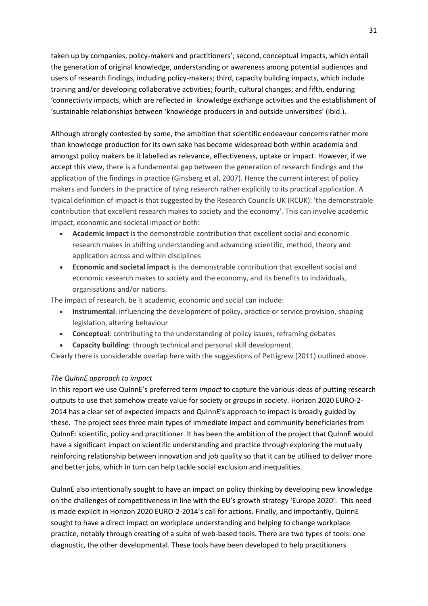taken up by companies, policy-makers and practitioners'; second, conceptual impacts, which entail the generation of original knowledge, understanding or awareness among potential audiences and users of research findings, including policy-makers; third, capacity building impacts, which include training and/or developing collaborative activities; fourth, cultural changes; and fifth, enduring 'connectivity impacts, which are reflected in knowledge exchange activities and the establishment of 'sustainable relationships between 'knowledge producers in and outside universities' (ibid.).

Although strongly contested by some, the ambition that scientific endeavour concerns rather more than knowledge production for its own sake has become widespread both within academia and amongst policy makers be it labelled as relevance, effectiveness, uptake or impact. However, if we accept this view, there is a fundamental gap between the generation of research findings and the application of the findings in practice (Ginsberg et al, 2007). Hence the current interest of policy makers and funders in the practice of tying research rather explicitly to its practical application. A typical definition of impact is that suggested by the Research Councils UK (RCUK): 'the demonstrable contribution that excellent research makes to society and the economy'. This can involve academic impact, economic and societal impact or both:

- **Academic impact** is the demonstrable contribution that excellent social and economic research makes in shifting understanding and advancing scientific, method, theory and application across and within disciplines
- **Economic and societal impact** is the demonstrable contribution that excellent social and economic research makes to society and the economy, and its benefits to individuals, organisations and/or nations.

The impact of research, be it academic, economic and social can include:

- **Instrumental**: influencing the development of policy, practice or service provision, shaping legislation, altering behaviour
- **Conceptual**: contributing to the understanding of policy issues, reframing debates
- **Capacity building**: through technical and personal skill development.

Clearly there is considerable overlap here with the suggestions of Pettigrew (2011) outlined above.

## *The QuInnE approach to impact*

In this report we use QuInnE's preferred term *impact* to capture the various ideas of putting research outputs to use that somehow create value for society or groups in society. Horizon 2020 EURO-2- 2014 has a clear set of expected impacts and QuInnE's approach to impact is broadly guided by these. The project sees three main types of immediate impact and community beneficiaries from QuInnE: scientific, policy and practitioner. It has been the ambition of the project that QuInnE would have a significant impact on scientific understanding and practice through exploring the mutually reinforcing relationship between innovation and job quality so that it can be utilised to deliver more and better jobs, which in turn can help tackle social exclusion and inequalities.

QuInnE also intentionally sought to have an impact on policy thinking by developing new knowledge on the challenges of competitiveness in line with the EU's growth strategy 'Europe 2020'. This need is made explicit in Horizon 2020 EURO-2-2014's call for actions. Finally, and importantly, QuInnE sought to have a direct impact on workplace understanding and helping to change workplace practice, notably through creating of a suite of web-based tools. There are two types of tools: one diagnostic, the other developmental. These tools have been developed to help practitioners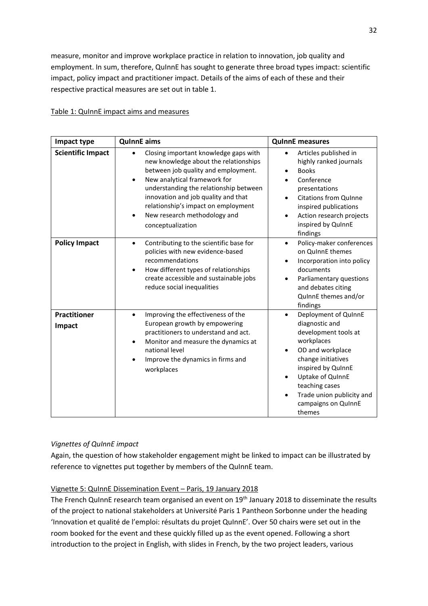measure, monitor and improve workplace practice in relation to innovation, job quality and employment. In sum, therefore, QuInnE has sought to generate three broad types impact: scientific impact, policy impact and practitioner impact. Details of the aims of each of these and their respective practical measures are set out in table 1.

# Table 1: QuInnE impact aims and measures

| Impact type                   | <b>QuinnE</b> aims                                                                                                                                                                                                                                                                                                                              | <b>QuinnE</b> measures                                                                                                                                                                                                                                        |
|-------------------------------|-------------------------------------------------------------------------------------------------------------------------------------------------------------------------------------------------------------------------------------------------------------------------------------------------------------------------------------------------|---------------------------------------------------------------------------------------------------------------------------------------------------------------------------------------------------------------------------------------------------------------|
| <b>Scientific Impact</b>      | Closing important knowledge gaps with<br>new knowledge about the relationships<br>between job quality and employment.<br>New analytical framework for<br>understanding the relationship between<br>innovation and job quality and that<br>relationship's impact on employment<br>New research methodology and<br>$\bullet$<br>conceptualization | Articles published in<br>highly ranked journals<br><b>Books</b><br>Conference<br>presentations<br>Citations from QuInne<br>inspired publications<br>Action research projects<br>$\bullet$<br>inspired by QuInnE<br>findings                                   |
| <b>Policy Impact</b>          | Contributing to the scientific base for<br>$\bullet$<br>policies with new evidence-based<br>recommendations<br>How different types of relationships<br>$\bullet$<br>create accessible and sustainable jobs<br>reduce social inequalities                                                                                                        | Policy-maker conferences<br>$\bullet$<br>on QuinnE themes<br>Incorporation into policy<br>٠<br>documents<br>Parliamentary questions<br>and debates citing<br>QuinnE themes and/or<br>findings                                                                 |
| <b>Practitioner</b><br>Impact | Improving the effectiveness of the<br>$\bullet$<br>European growth by empowering<br>practitioners to understand and act.<br>Monitor and measure the dynamics at<br>$\bullet$<br>national level<br>Improve the dynamics in firms and<br>$\bullet$<br>workplaces                                                                                  | Deployment of QuinnE<br>$\bullet$<br>diagnostic and<br>development tools at<br>workplaces<br>OD and workplace<br>change initiatives<br>inspired by QuInnE<br>Uptake of QuinnE<br>teaching cases<br>Trade union publicity and<br>campaigns on QuInnE<br>themes |

# *Vignettes of QuInnE impact*

Again, the question of how stakeholder engagement might be linked to impact can be illustrated by reference to vignettes put together by members of the QuInnE team.

# Vignette 5: QuInnE Dissemination Event – Paris, 19 January 2018

The French QuInnE research team organised an event on 19<sup>th</sup> January 2018 to disseminate the results of the project to national stakeholders at Université Paris 1 Pantheon Sorbonne under the heading 'Innovation et qualité de l'emploi: résultats du projet QuInnE'. Over 50 chairs were set out in the room booked for the event and these quickly filled up as the event opened. Following a short introduction to the project in English, with slides in French, by the two project leaders, various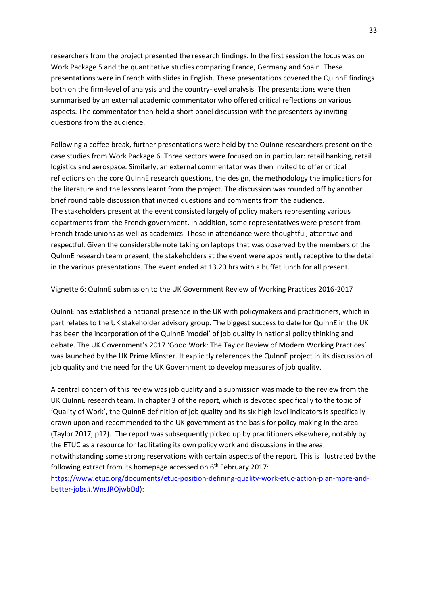researchers from the project presented the research findings. In the first session the focus was on Work Package 5 and the quantitative studies comparing France, Germany and Spain. These presentations were in French with slides in English. These presentations covered the QuInnE findings both on the firm-level of analysis and the country-level analysis. The presentations were then summarised by an external academic commentator who offered critical reflections on various aspects. The commentator then held a short panel discussion with the presenters by inviting questions from the audience.

Following a coffee break, further presentations were held by the QuInne researchers present on the case studies from Work Package 6. Three sectors were focused on in particular: retail banking, retail logistics and aerospace. Similarly, an external commentator was then invited to offer critical reflections on the core QuInnE research questions, the design, the methodology the implications for the literature and the lessons learnt from the project. The discussion was rounded off by another brief round table discussion that invited questions and comments from the audience. The stakeholders present at the event consisted largely of policy makers representing various departments from the French government. In addition, some representatives were present from French trade unions as well as academics. Those in attendance were thoughtful, attentive and respectful. Given the considerable note taking on laptops that was observed by the members of the QuInnE research team present, the stakeholders at the event were apparently receptive to the detail in the various presentations. The event ended at 13.20 hrs with a buffet lunch for all present.

## Vignette 6: QuInnE submission to the UK Government Review of Working Practices 2016-2017

QuInnE has established a national presence in the UK with policymakers and practitioners, which in part relates to the UK stakeholder advisory group. The biggest success to date for QuInnE in the UK has been the incorporation of the QuInnE 'model' of job quality in national policy thinking and debate. The UK Government's 2017 'Good Work: The Taylor Review of Modern Working Practices' was launched by the UK Prime Minster. It explicitly references the QuInnE project in its discussion of job quality and the need for the UK Government to develop measures of job quality.

A central concern of this review was job quality and a submission was made to the review from the UK QuInnE research team. In chapter 3 of the report, which is devoted specifically to the topic of 'Quality of Work', the QuInnE definition of job quality and its six high level indicators is specifically drawn upon and recommended to the UK government as the basis for policy making in the area (Taylor 2017, p12). The report was subsequently picked up by practitioners elsewhere, notably by the ETUC as a resource for facilitating its own policy work and discussions in the area, notwithstanding some strong reservations with certain aspects of the report. This is illustrated by the following extract from its homepage accessed on  $6<sup>th</sup>$  February 2017: [https://www.etuc.org/documents/etuc-position-defining-quality-work-etuc-action-plan-more-and](https://www.etuc.org/documents/etuc-position-defining-quality-work-etuc-action-plan-more-and-better-jobs#.WnsJROjwbDd)[better-jobs#.WnsJROjwbDd\)](https://www.etuc.org/documents/etuc-position-defining-quality-work-etuc-action-plan-more-and-better-jobs#.WnsJROjwbDd):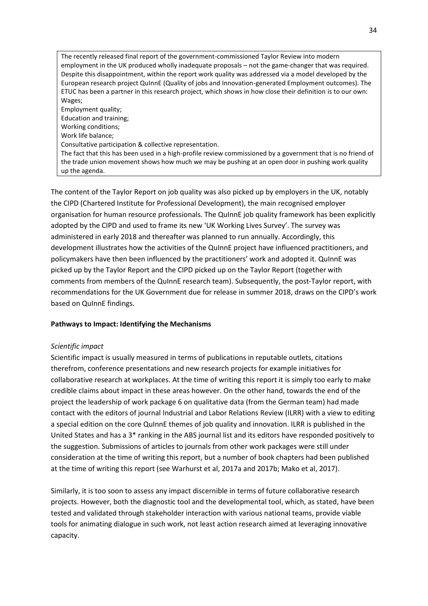The recently released final report of the government-commissioned Taylor Review into modern employment in the UK produced wholly inadequate proposals – not the game-changer that was required. Despite this disappointment, within the report work quality was addressed via a model developed by the European research project QuInnE (Quality of jobs and Innovation-generated Employment outcomes). The ETUC has been a partner in this research project, which shows in how close their definition is to our own: Wages; Employment quality; Education and training;

Working conditions;

Work life balance;

Consultative participation & collective representation.

The fact that this has been used in a high-profile review commissioned by a government that is no friend of the trade union movement shows how much we may be pushing at an open door in pushing work quality up the agenda.

The content of the Taylor Report on job quality was also picked up by employers in the UK, notably the CIPD (Chartered Institute for Professional Development), the main recognised employer organisation for human resource professionals. The QuInnE job quality framework has been explicitly adopted by the CIPD and used to frame its new 'UK Working Lives Survey'. The survey was administered in early 2018 and thereafter was planned to run annually. Accordingly, this development illustrates how the activities of the QuInnE project have influenced practitioners, and policymakers have then been influenced by the practitioners' work and adopted it. QuInnE was picked up by the Taylor Report and the CIPD picked up on the Taylor Report (together with comments from members of the QuInnE research team). Subsequently, the post-Taylor report, with recommendations for the UK Government due for release in summer 2018, draws on the CIPD's work based on QuInnE findings.

# **Pathways to Impact: Identifying the Mechanisms**

# *Scientific impact*

Scientific impact is usually measured in terms of publications in reputable outlets, citations therefrom, conference presentations and new research projects for example initiatives for collaborative research at workplaces. At the time of writing this report it is simply too early to make credible claims about impact in these areas however. On the other hand, towards the end of the project the leadership of work package 6 on qualitative data (from the German team) had made contact with the editors of journal Industrial and Labor Relations Review (ILRR) with a view to editing a special edition on the core QuInnE themes of job quality and innovation. ILRR is published in the United States and has a 3\* ranking in the ABS journal list and its editors have responded positively to the suggestion. Submissions of articles to journals from other work packages were still under consideration at the time of writing this report, but a number of book chapters had been published at the time of writing this report (see Warhurst et al, 2017a and 2017b; Mako et al, 2017).

Similarly, it is too soon to assess any impact discernible in terms of future collaborative research projects. However, both the diagnostic tool and the developmental tool, which, as stated, have been tested and validated through stakeholder interaction with various national teams, provide viable tools for animating dialogue in such work, not least action research aimed at leveraging innovative capacity.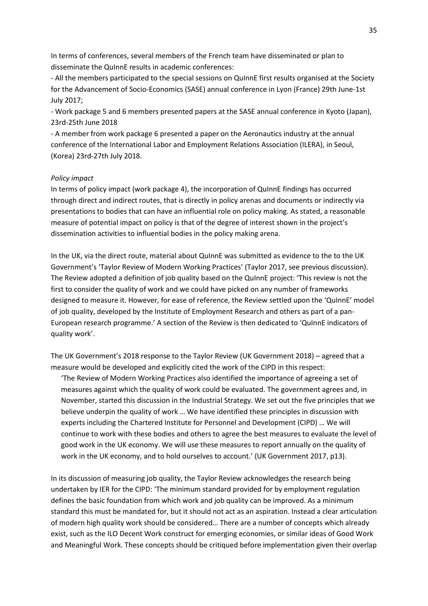In terms of conferences, several members of the French team have disseminated or plan to disseminate the QuInnE results in academic conferences:

- All the members participated to the special sessions on QuInnE first results organised at the Society for the Advancement of Socio-Economics (SASE) annual conference in Lyon (France) 29th June-1st July 2017;

- Work package 5 and 6 members presented papers at the SASE annual conference in Kyoto (Japan), 23rd-25th June 2018

- A member from work package 6 presented a paper on the Aeronautics industry at the annual conference of the International Labor and Employment Relations Association (ILERA), in Seoul, (Korea) 23rd-27th July 2018.

#### *Policy impact*

In terms of policy impact (work package 4), the incorporation of QuInnE findings has occurred through direct and indirect routes, that is directly in policy arenas and documents or indirectly via presentations to bodies that can have an influential role on policy making. As stated, a reasonable measure of potential impact on policy is that of the degree of interest shown in the project's dissemination activities to influential bodies in the policy making arena.

In the UK, via the direct route, material about QuInnE was submitted as evidence to the to the UK Government's 'Taylor Review of Modern Working Practices' (Taylor 2017, see previous discussion). The Review adopted a definition of job quality based on the QuInnE project: 'This review is not the first to consider the quality of work and we could have picked on any number of frameworks designed to measure it. However, for ease of reference, the Review settled upon the 'QuInnE' model of job quality, developed by the Institute of Employment Research and others as part of a pan-European research programme.' A section of the Review is then dedicated to 'QuInnE indicators of quality work'.

The UK Government's 2018 response to the Taylor Review (UK Government 2018) – agreed that a measure would be developed and explicitly cited the work of the CIPD in this respect:

'The Review of Modern Working Practices also identified the importance of agreeing a set of measures against which the quality of work could be evaluated. The government agrees and, in November, started this discussion in the Industrial Strategy. We set out the five principles that we believe underpin the quality of work … We have identified these principles in discussion with experts including the Chartered Institute for Personnel and Development (CIPD) … We will continue to work with these bodies and others to agree the best measures to evaluate the level of good work in the UK economy. We will use these measures to report annually on the quality of work in the UK economy, and to hold ourselves to account.' (UK Government 2017, p13).

In its discussion of measuring job quality, the Taylor Review acknowledges the research being undertaken by IER for the CIPD: 'The minimum standard provided for by employment regulation defines the basic foundation from which work and job quality can be improved. As a minimum standard this must be mandated for, but it should not act as an aspiration. Instead a clear articulation of modern high quality work should be considered… There are a number of concepts which already exist, such as the ILO Decent Work construct for emerging economies, or similar ideas of Good Work and Meaningful Work. These concepts should be critiqued before implementation given their overlap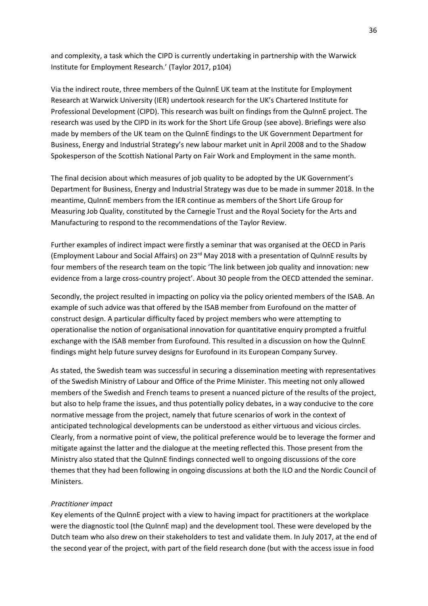and complexity, a task which the CIPD is currently undertaking in partnership with the Warwick Institute for Employment Research.' (Taylor 2017, p104)

Via the indirect route, three members of the QuInnE UK team at the Institute for Employment Research at Warwick University (IER) undertook research for the UK's Chartered Institute for Professional Development (CIPD). This research was built on findings from the QuInnE project. The research was used by the CIPD in its work for the Short Life Group (see above). Briefings were also made by members of the UK team on the QuInnE findings to the UK Government Department for Business, Energy and Industrial Strategy's new labour market unit in April 2008 and to the Shadow Spokesperson of the Scottish National Party on Fair Work and Employment in the same month.

The final decision about which measures of job quality to be adopted by the UK Government's Department for Business, Energy and Industrial Strategy was due to be made in summer 2018. In the meantime, QuInnE members from the IER continue as members of the Short Life Group for Measuring Job Quality, constituted by the Carnegie Trust and the Royal Society for the Arts and Manufacturing to respond to the recommendations of the Taylor Review.

Further examples of indirect impact were firstly a seminar that was organised at the OECD in Paris (Employment Labour and Social Affairs) on 23rd May 2018 with a presentation of QuInnE results by four members of the research team on the topic 'The link between job quality and innovation: new evidence from a large cross-country project'. About 30 people from the OECD attended the seminar.

Secondly, the project resulted in impacting on policy via the policy oriented members of the ISAB. An example of such advice was that offered by the ISAB member from Eurofound on the matter of construct design. A particular difficulty faced by project members who were attempting to operationalise the notion of organisational innovation for quantitative enquiry prompted a fruitful exchange with the ISAB member from Eurofound. This resulted in a discussion on how the QuInnE findings might help future survey designs for Eurofound in its European Company Survey.

As stated, the Swedish team was successful in securing a dissemination meeting with representatives of the Swedish Ministry of Labour and Office of the Prime Minister. This meeting not only allowed members of the Swedish and French teams to present a nuanced picture of the results of the project, but also to help frame the issues, and thus potentially policy debates, in a way conducive to the core normative message from the project, namely that future scenarios of work in the context of anticipated technological developments can be understood as either virtuous and vicious circles. Clearly, from a normative point of view, the political preference would be to leverage the former and mitigate against the latter and the dialogue at the meeting reflected this. Those present from the Ministry also stated that the QuInnE findings connected well to ongoing discussions of the core themes that they had been following in ongoing discussions at both the ILO and the Nordic Council of Ministers.

#### *Practitioner impact*

Key elements of the QuInnE project with a view to having impact for practitioners at the workplace were the diagnostic tool (the QuInnE map) and the development tool. These were developed by the Dutch team who also drew on their stakeholders to test and validate them. In July 2017, at the end of the second year of the project, with part of the field research done (but with the access issue in food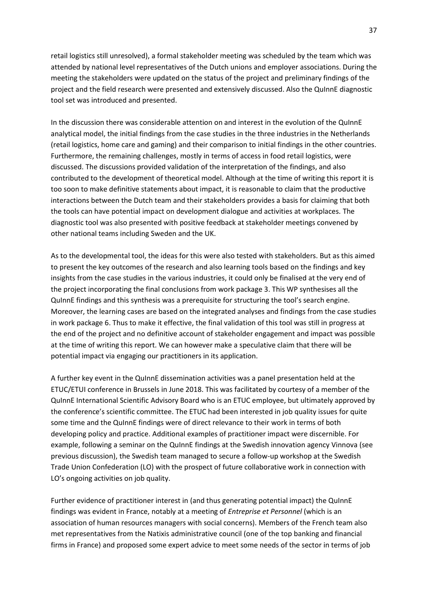retail logistics still unresolved), a formal stakeholder meeting was scheduled by the team which was attended by national level representatives of the Dutch unions and employer associations. During the meeting the stakeholders were updated on the status of the project and preliminary findings of the project and the field research were presented and extensively discussed. Also the QuInnE diagnostic tool set was introduced and presented.

In the discussion there was considerable attention on and interest in the evolution of the QuInnE analytical model, the initial findings from the case studies in the three industries in the Netherlands (retail logistics, home care and gaming) and their comparison to initial findings in the other countries. Furthermore, the remaining challenges, mostly in terms of access in food retail logistics, were discussed. The discussions provided validation of the interpretation of the findings, and also contributed to the development of theoretical model. Although at the time of writing this report it is too soon to make definitive statements about impact, it is reasonable to claim that the productive interactions between the Dutch team and their stakeholders provides a basis for claiming that both the tools can have potential impact on development dialogue and activities at workplaces. The diagnostic tool was also presented with positive feedback at stakeholder meetings convened by other national teams including Sweden and the UK.

As to the developmental tool, the ideas for this were also tested with stakeholders. But as this aimed to present the key outcomes of the research and also learning tools based on the findings and key insights from the case studies in the various industries, it could only be finalised at the very end of the project incorporating the final conclusions from work package 3. This WP synthesises all the QuInnE findings and this synthesis was a prerequisite for structuring the tool's search engine. Moreover, the learning cases are based on the integrated analyses and findings from the case studies in work package 6. Thus to make it effective, the final validation of this tool was still in progress at the end of the project and no definitive account of stakeholder engagement and impact was possible at the time of writing this report. We can however make a speculative claim that there will be potential impact via engaging our practitioners in its application.

A further key event in the QuInnE dissemination activities was a panel presentation held at the ETUC/ETUI conference in Brussels in June 2018. This was facilitated by courtesy of a member of the QuInnE International Scientific Advisory Board who is an ETUC employee, but ultimately approved by the conference's scientific committee. The ETUC had been interested in job quality issues for quite some time and the QuInnE findings were of direct relevance to their work in terms of both developing policy and practice. Additional examples of practitioner impact were discernible. For example, following a seminar on the QuInnE findings at the Swedish innovation agency Vinnova (see previous discussion), the Swedish team managed to secure a follow-up workshop at the Swedish Trade Union Confederation (LO) with the prospect of future collaborative work in connection with LO's ongoing activities on job quality.

Further evidence of practitioner interest in (and thus generating potential impact) the QuInnE findings was evident in France, notably at a meeting of *Entreprise et Personnel* (which is an association of human resources managers with social concerns). Members of the French team also met representatives from the Natixis administrative council (one of the top banking and financial firms in France) and proposed some expert advice to meet some needs of the sector in terms of job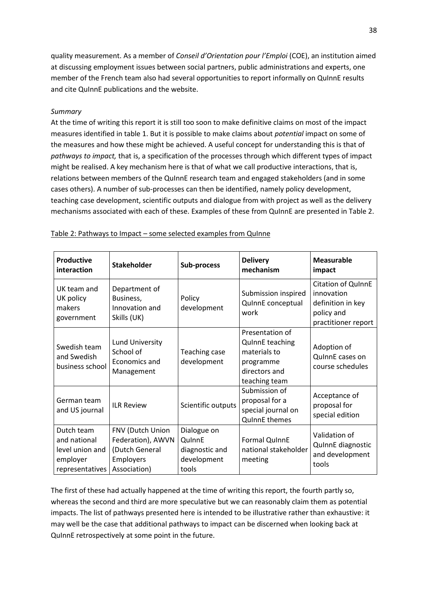quality measurement. As a member of *Conseil d'Orientation pour l'Emploi* (COE), an institution aimed at discussing employment issues between social partners, public administrations and experts, one member of the French team also had several opportunities to report informally on QuInnE results and cite QuInnE publications and the website.

## *Summary*

At the time of writing this report it is still too soon to make definitive claims on most of the impact measures identified in table 1. But it is possible to make claims about *potential* impact on some of the measures and how these might be achieved. A useful concept for understanding this is that of *pathways to impact,* that is, a specification of the processes through which different types of impact might be realised. A key mechanism here is that of what we call productive interactions, that is, relations between members of the QuInnE research team and engaged stakeholders (and in some cases others). A number of sub-processes can then be identified, namely policy development, teaching case development, scientific outputs and dialogue from with project as well as the delivery mechanisms associated with each of these. Examples of these from QuInnE are presented in Table 2.

| <b>Productive</b><br>interaction                                             | <b>Stakeholder</b>                                                                   | Sub-process                                                     | <b>Delivery</b><br>mechanism                                                                             | <b>Measurable</b><br>impact                                                                |
|------------------------------------------------------------------------------|--------------------------------------------------------------------------------------|-----------------------------------------------------------------|----------------------------------------------------------------------------------------------------------|--------------------------------------------------------------------------------------------|
| UK team and<br>UK policy<br>makers<br>government                             | Department of<br>Business,<br>Innovation and<br>Skills (UK)                          | Policy<br>development                                           | Submission inspired<br>QuinnE conceptual<br>work                                                         | Citation of QuInnE<br>innovation<br>definition in key<br>policy and<br>practitioner report |
| Swedish team<br>and Swedish<br>business school                               | Lund University<br>School of<br>Economics and<br>Management                          | Teaching case<br>development                                    | Presentation of<br><b>QuinnE</b> teaching<br>materials to<br>programme<br>directors and<br>teaching team | Adoption of<br>QuinnE cases on<br>course schedules                                         |
| German team<br>and US journal                                                | <b>ILR Review</b>                                                                    | Scientific outputs                                              | Submission of<br>proposal for a<br>special journal on<br><b>QuinnE</b> themes                            | Acceptance of<br>proposal for<br>special edition                                           |
| Dutch team<br>and national<br>level union and<br>employer<br>representatives | FNV (Dutch Union<br>Federation), AWVN<br>(Dutch General<br>Employers<br>Association) | Dialogue on<br>QuinnE<br>diagnostic and<br>development<br>tools | Formal QuinnE<br>national stakeholder<br>meeting                                                         | Validation of<br>QuinnE diagnostic<br>and development<br>tools                             |

#### Table 2: Pathways to Impact – some selected examples from QuInne

The first of these had actually happened at the time of writing this report, the fourth partly so, whereas the second and third are more speculative but we can reasonably claim them as potential impacts. The list of pathways presented here is intended to be illustrative rather than exhaustive: it may well be the case that additional pathways to impact can be discerned when looking back at QuInnE retrospectively at some point in the future.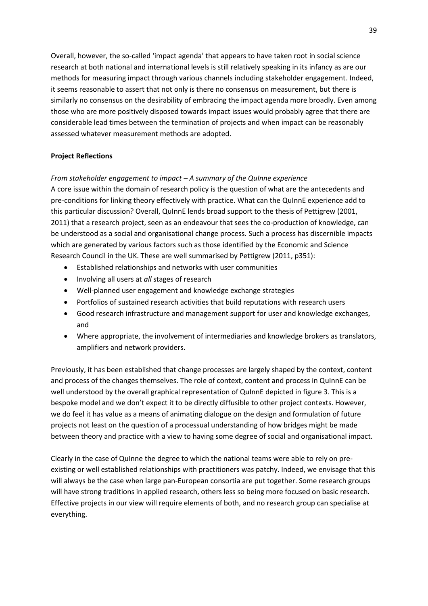Overall, however, the so-called 'impact agenda' that appears to have taken root in social science research at both national and international levels is still relatively speaking in its infancy as are our methods for measuring impact through various channels including stakeholder engagement. Indeed, it seems reasonable to assert that not only is there no consensus on measurement, but there is similarly no consensus on the desirability of embracing the impact agenda more broadly. Even among those who are more positively disposed towards impact issues would probably agree that there are considerable lead times between the termination of projects and when impact can be reasonably assessed whatever measurement methods are adopted.

# **Project Reflections**

*From stakeholder engagement to impact – A summary of the QuInne experience*

A core issue within the domain of research policy is the question of what are the antecedents and pre-conditions for linking theory effectively with practice. What can the QuInnE experience add to this particular discussion? Overall, QuInnE lends broad support to the thesis of Pettigrew (2001, 2011) that a research project, seen as an endeavour that sees the co-production of knowledge, can be understood as a social and organisational change process. Such a process has discernible impacts which are generated by various factors such as those identified by the Economic and Science Research Council in the UK. These are well summarised by Pettigrew (2011, p351):

- Established relationships and networks with user communities
- Involving all users at *all* stages of research
- Well-planned user engagement and knowledge exchange strategies
- Portfolios of sustained research activities that build reputations with research users
- Good research infrastructure and management support for user and knowledge exchanges, and
- Where appropriate, the involvement of intermediaries and knowledge brokers as translators, amplifiers and network providers.

Previously, it has been established that change processes are largely shaped by the context, content and process of the changes themselves. The role of context, content and process in QuInnE can be well understood by the overall graphical representation of QuInnE depicted in figure 3. This is a bespoke model and we don't expect it to be directly diffusible to other project contexts. However, we do feel it has value as a means of animating dialogue on the design and formulation of future projects not least on the question of a processual understanding of how bridges might be made between theory and practice with a view to having some degree of social and organisational impact.

Clearly in the case of QuInne the degree to which the national teams were able to rely on preexisting or well established relationships with practitioners was patchy. Indeed, we envisage that this will always be the case when large pan-European consortia are put together. Some research groups will have strong traditions in applied research, others less so being more focused on basic research. Effective projects in our view will require elements of both, and no research group can specialise at everything.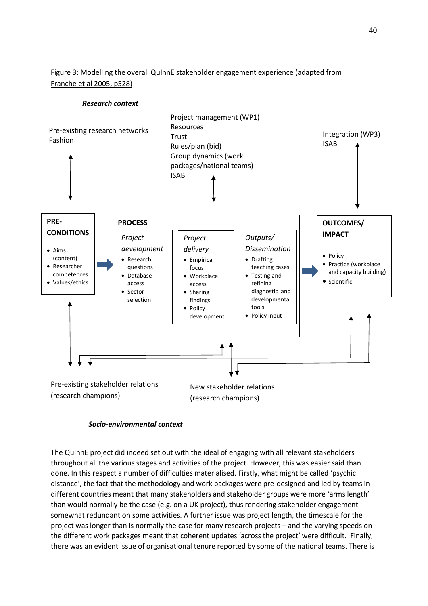# Figure 3: Modelling the overall QuInnE stakeholder engagement experience (adapted from Franche et al 2005, p528)

## *Research context*



## *Socio-environmental context*

The QuInnE project did indeed set out with the ideal of engaging with all relevant stakeholders throughout all the various stages and activities of the project. However, this was easier said than done. In this respect a number of difficulties materialised. Firstly, what might be called 'psychic distance', the fact that the methodology and work packages were pre-designed and led by teams in different countries meant that many stakeholders and stakeholder groups were more 'arms length' than would normally be the case (e.g. on a UK project), thus rendering stakeholder engagement somewhat redundant on some activities. A further issue was project length, the timescale for the project was longer than is normally the case for many research projects – and the varying speeds on the different work packages meant that coherent updates 'across the project' were difficult. Finally, there was an evident issue of organisational tenure reported by some of the national teams. There is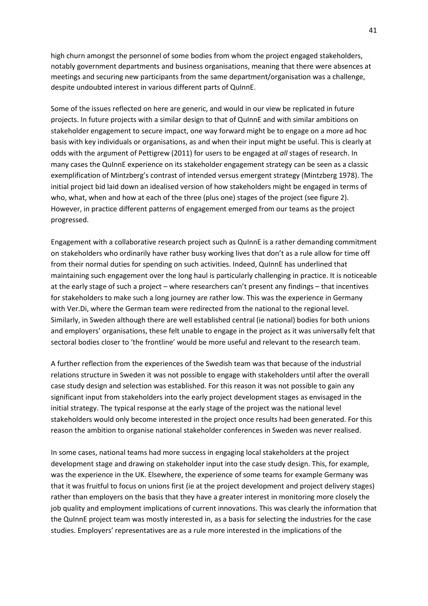high churn amongst the personnel of some bodies from whom the project engaged stakeholders, notably government departments and business organisations, meaning that there were absences at meetings and securing new participants from the same department/organisation was a challenge, despite undoubted interest in various different parts of QuInnE.

Some of the issues reflected on here are generic, and would in our view be replicated in future projects. In future projects with a similar design to that of QuInnE and with similar ambitions on stakeholder engagement to secure impact, one way forward might be to engage on a more ad hoc basis with key individuals or organisations, as and when their input might be useful. This is clearly at odds with the argument of Pettigrew (2011) for users to be engaged at *all* stages of research. In many cases the QuInnE experience on its stakeholder engagement strategy can be seen as a classic exemplification of Mintzberg's contrast of intended versus emergent strategy (Mintzberg 1978). The initial project bid laid down an idealised version of how stakeholders might be engaged in terms of who, what, when and how at each of the three (plus one) stages of the project (see figure 2). However, in practice different patterns of engagement emerged from our teams as the project progressed.

Engagement with a collaborative research project such as QuInnE is a rather demanding commitment on stakeholders who ordinarily have rather busy working lives that don't as a rule allow for time off from their normal duties for spending on such activities. Indeed, QuInnE has underlined that maintaining such engagement over the long haul is particularly challenging in practice. It is noticeable at the early stage of such a project – where researchers can't present any findings – that incentives for stakeholders to make such a long journey are rather low. This was the experience in Germany with Ver.Di, where the German team were redirected from the national to the regional level. Similarly, in Sweden although there are well established central (ie national) bodies for both unions and employers' organisations, these felt unable to engage in the project as it was universally felt that sectoral bodies closer to 'the frontline' would be more useful and relevant to the research team.

A further reflection from the experiences of the Swedish team was that because of the industrial relations structure in Sweden it was not possible to engage with stakeholders until after the overall case study design and selection was established. For this reason it was not possible to gain any significant input from stakeholders into the early project development stages as envisaged in the initial strategy. The typical response at the early stage of the project was the national level stakeholders would only become interested in the project once results had been generated. For this reason the ambition to organise national stakeholder conferences in Sweden was never realised.

In some cases, national teams had more success in engaging local stakeholders at the project development stage and drawing on stakeholder input into the case study design. This, for example, was the experience in the UK. Elsewhere, the experience of some teams for example Germany was that it was fruitful to focus on unions first (ie at the project development and project delivery stages) rather than employers on the basis that they have a greater interest in monitoring more closely the job quality and employment implications of current innovations. This was clearly the information that the QuInnE project team was mostly interested in, as a basis for selecting the industries for the case studies. Employers' representatives are as a rule more interested in the implications of the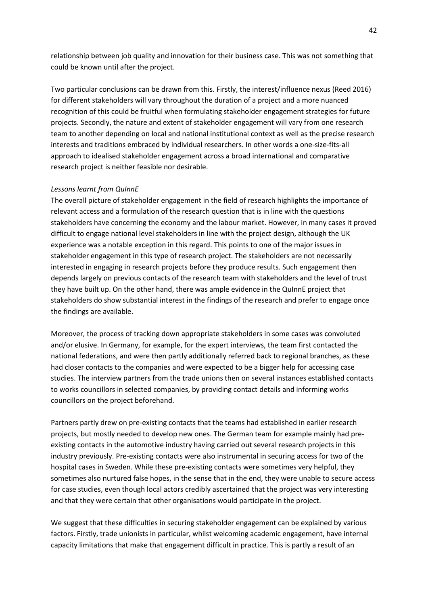relationship between job quality and innovation for their business case. This was not something that could be known until after the project.

Two particular conclusions can be drawn from this. Firstly, the interest/influence nexus (Reed 2016) for different stakeholders will vary throughout the duration of a project and a more nuanced recognition of this could be fruitful when formulating stakeholder engagement strategies for future projects. Secondly, the nature and extent of stakeholder engagement will vary from one research team to another depending on local and national institutional context as well as the precise research interests and traditions embraced by individual researchers. In other words a one-size-fits-all approach to idealised stakeholder engagement across a broad international and comparative research project is neither feasible nor desirable.

## *Lessons learnt from QuInnE*

The overall picture of stakeholder engagement in the field of research highlights the importance of relevant access and a formulation of the research question that is in line with the questions stakeholders have concerning the economy and the labour market. However, in many cases it proved difficult to engage national level stakeholders in line with the project design, although the UK experience was a notable exception in this regard. This points to one of the major issues in stakeholder engagement in this type of research project. The stakeholders are not necessarily interested in engaging in research projects before they produce results. Such engagement then depends largely on previous contacts of the research team with stakeholders and the level of trust they have built up. On the other hand, there was ample evidence in the QuInnE project that stakeholders do show substantial interest in the findings of the research and prefer to engage once the findings are available.

Moreover, the process of tracking down appropriate stakeholders in some cases was convoluted and/or elusive. In Germany, for example, for the expert interviews, the team first contacted the national federations, and were then partly additionally referred back to regional branches, as these had closer contacts to the companies and were expected to be a bigger help for accessing case studies. The interview partners from the trade unions then on several instances established contacts to works councillors in selected companies, by providing contact details and informing works councillors on the project beforehand.

Partners partly drew on pre-existing contacts that the teams had established in earlier research projects, but mostly needed to develop new ones. The German team for example mainly had preexisting contacts in the automotive industry having carried out several research projects in this industry previously. Pre-existing contacts were also instrumental in securing access for two of the hospital cases in Sweden. While these pre-existing contacts were sometimes very helpful, they sometimes also nurtured false hopes, in the sense that in the end, they were unable to secure access for case studies, even though local actors credibly ascertained that the project was very interesting and that they were certain that other organisations would participate in the project.

We suggest that these difficulties in securing stakeholder engagement can be explained by various factors. Firstly, trade unionists in particular, whilst welcoming academic engagement, have internal capacity limitations that make that engagement difficult in practice. This is partly a result of an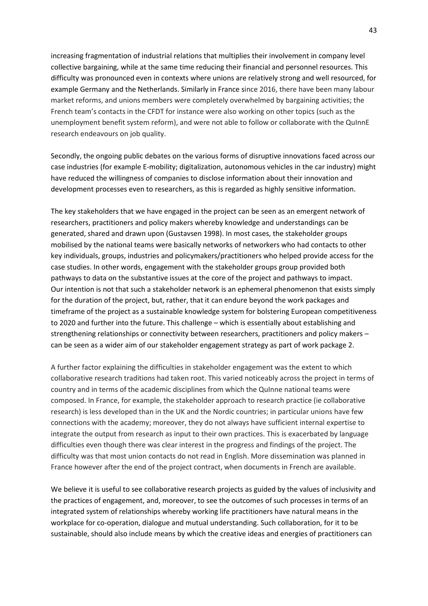increasing fragmentation of industrial relations that multiplies their involvement in company level collective bargaining, while at the same time reducing their financial and personnel resources. This difficulty was pronounced even in contexts where unions are relatively strong and well resourced, for example Germany and the Netherlands. Similarly in France since 2016, there have been many labour market reforms, and unions members were completely overwhelmed by bargaining activities; the French team's contacts in the CFDT for instance were also working on other topics (such as the unemployment benefit system reform), and were not able to follow or collaborate with the QuInnE research endeavours on job quality.

Secondly, the ongoing public debates on the various forms of disruptive innovations faced across our case industries (for example E-mobility; digitalization, autonomous vehicles in the car industry) might have reduced the willingness of companies to disclose information about their innovation and development processes even to researchers, as this is regarded as highly sensitive information.

The key stakeholders that we have engaged in the project can be seen as an emergent network of researchers, practitioners and policy makers whereby knowledge and understandings can be generated, shared and drawn upon (Gustavsen 1998). In most cases, the stakeholder groups mobilised by the national teams were basically networks of networkers who had contacts to other key individuals, groups, industries and policymakers/practitioners who helped provide access for the case studies. In other words, engagement with the stakeholder groups group provided both pathways to data on the substantive issues at the core of the project and pathways to impact. Our intention is not that such a stakeholder network is an ephemeral phenomenon that exists simply for the duration of the project, but, rather, that it can endure beyond the work packages and timeframe of the project as a sustainable knowledge system for bolstering European competitiveness to 2020 and further into the future. This challenge – which is essentially about establishing and strengthening relationships or connectivity between researchers, practitioners and policy makers – can be seen as a wider aim of our stakeholder engagement strategy as part of work package 2.

A further factor explaining the difficulties in stakeholder engagement was the extent to which collaborative research traditions had taken root. This varied noticeably across the project in terms of country and in terms of the academic disciplines from which the QuInne national teams were composed. In France, for example, the stakeholder approach to research practice (ie collaborative research) is less developed than in the UK and the Nordic countries; in particular unions have few connections with the academy; moreover, they do not always have sufficient internal expertise to integrate the output from research as input to their own practices. This is exacerbated by language difficulties even though there was clear interest in the progress and findings of the project. The difficulty was that most union contacts do not read in English. More dissemination was planned in France however after the end of the project contract, when documents in French are available.

We believe it is useful to see collaborative research projects as guided by the values of inclusivity and the practices of engagement, and, moreover, to see the outcomes of such processes in terms of an integrated system of relationships whereby working life practitioners have natural means in the workplace for co-operation, dialogue and mutual understanding. Such collaboration, for it to be sustainable, should also include means by which the creative ideas and energies of practitioners can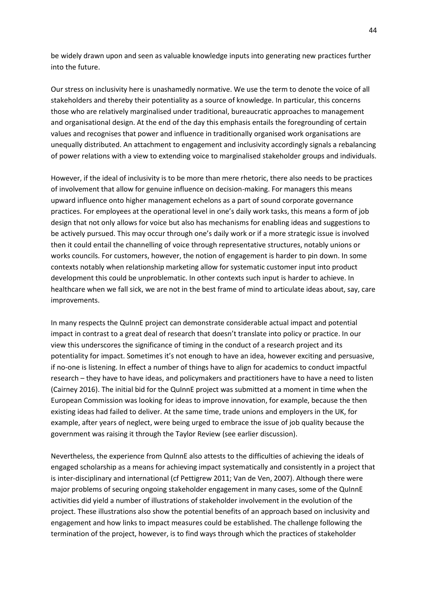be widely drawn upon and seen as valuable knowledge inputs into generating new practices further into the future.

Our stress on inclusivity here is unashamedly normative. We use the term to denote the voice of all stakeholders and thereby their potentiality as a source of knowledge. In particular, this concerns those who are relatively marginalised under traditional, bureaucratic approaches to management and organisational design. At the end of the day this emphasis entails the foregrounding of certain values and recognises that power and influence in traditionally organised work organisations are unequally distributed. An attachment to engagement and inclusivity accordingly signals a rebalancing of power relations with a view to extending voice to marginalised stakeholder groups and individuals.

However, if the ideal of inclusivity is to be more than mere rhetoric, there also needs to be practices of involvement that allow for genuine influence on decision-making. For managers this means upward influence onto higher management echelons as a part of sound corporate governance practices. For employees at the operational level in one's daily work tasks, this means a form of job design that not only allows for voice but also has mechanisms for enabling ideas and suggestions to be actively pursued. This may occur through one's daily work or if a more strategic issue is involved then it could entail the channelling of voice through representative structures, notably unions or works councils. For customers, however, the notion of engagement is harder to pin down. In some contexts notably when relationship marketing allow for systematic customer input into product development this could be unproblematic. In other contexts such input is harder to achieve. In healthcare when we fall sick, we are not in the best frame of mind to articulate ideas about, say, care improvements.

In many respects the QuInnE project can demonstrate considerable actual impact and potential impact in contrast to a great deal of research that doesn't translate into policy or practice. In our view this underscores the significance of timing in the conduct of a research project and its potentiality for impact. Sometimes it's not enough to have an idea, however exciting and persuasive, if no-one is listening. In effect a number of things have to align for academics to conduct impactful research – they have to have ideas, and policymakers and practitioners have to have a need to listen (Cairney 2016). The initial bid for the QuInnE project was submitted at a moment in time when the European Commission was looking for ideas to improve innovation, for example, because the then existing ideas had failed to deliver. At the same time, trade unions and employers in the UK, for example, after years of neglect, were being urged to embrace the issue of job quality because the government was raising it through the Taylor Review (see earlier discussion).

Nevertheless, the experience from QuInnE also attests to the difficulties of achieving the ideals of engaged scholarship as a means for achieving impact systematically and consistently in a project that is inter-disciplinary and international (cf Pettigrew 2011; Van de Ven, 2007). Although there were major problems of securing ongoing stakeholder engagement in many cases, some of the QuInnE activities did yield a number of illustrations of stakeholder involvement in the evolution of the project. These illustrations also show the potential benefits of an approach based on inclusivity and engagement and how links to impact measures could be established. The challenge following the termination of the project, however, is to find ways through which the practices of stakeholder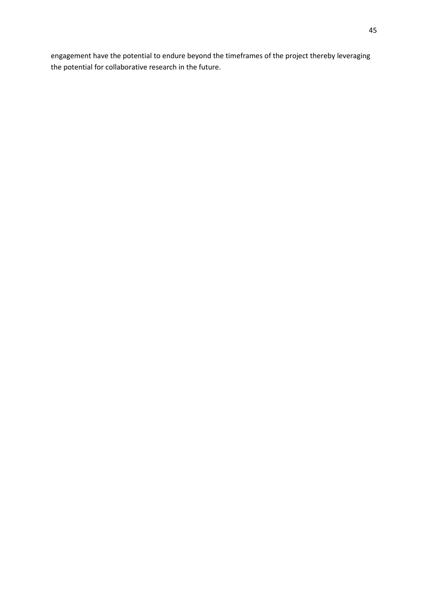engagement have the potential to endure beyond the timeframes of the project thereby leveraging the potential for collaborative research in the future.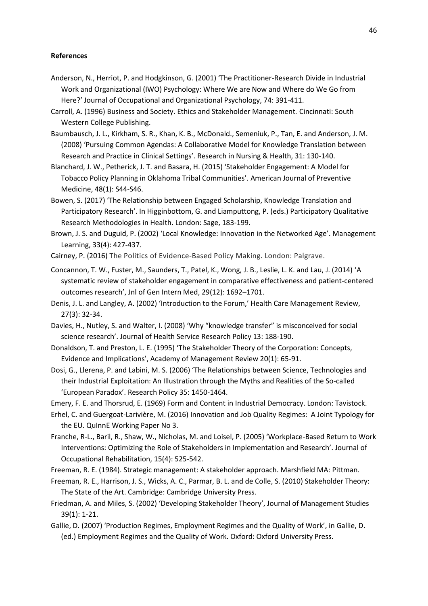#### **References**

- Anderson, N., Herriot, P. and Hodgkinson, G. (2001) 'The Practitioner-Research Divide in Industrial Work and Organizational (IWO) Psychology: Where We are Now and Where do We Go from Here?' Journal of Occupational and Organizational Psychology, 74: 391-411.
- Carroll, A. (1996) Business and Society. Ethics and Stakeholder Management*.* Cincinnati: South Western College Publishing.
- Baumbausch, J. L., Kirkham, S. R., Khan, K. B., McDonald., Semeniuk, P., Tan, E. and Anderson, J. M. (2008) 'Pursuing Common Agendas: A Collaborative Model for Knowledge Translation between Research and Practice in Clinical Settings'. Research in Nursing & Health, 31: 130-140.
- Blanchard, J. W., Petherick, J. T. and Basara, H. (2015) 'Stakeholder Engagement: A Model for Tobacco Policy Planning in Oklahoma Tribal Communities'. American Journal of Preventive Medicine, 48(1): S44-S46.
- Bowen, S. (2017) 'The Relationship between Engaged Scholarship, Knowledge Translation and Participatory Research'. In Higginbottom, G. and Liamputtong, P. (eds.) Participatory Qualitative Research Methodologies in Health. London: Sage, 183-199.
- Brown, J. S. and Duguid, P. (2002) 'Local Knowledge: Innovation in the Networked Age'. Management Learning, 33(4): 427-437.
- Cairney, P. (2016) The Politics of Evidence-Based Policy Making. London: Palgrave.
- Concannon, T. W., Fuster, M., Saunders, T., Patel, K., Wong, J. B., Leslie, L. K. and Lau, J. (2014) 'A systematic review of stakeholder engagement in comparative effectiveness and patient-centered outcomes research', Jnl of Gen Intern Med, 29(12): 1692–1701.
- Denis, J. L. and Langley, A. (2002) 'Introduction to the Forum,' Health Care Management Review, 27(3): 32-34.
- Davies, H., Nutley, S. and Walter, I. (2008) 'Why "knowledge transfer" is misconceived for social science research'. Journal of Health Service Research Policy 13: 188-190.
- Donaldson, T. and Preston, L. E. (1995) 'The Stakeholder Theory of the Corporation: Concepts, Evidence and Implications', Academy of Management Review 20(1): 65-91.
- Dosi, G., Llerena, P. and Labini, M. S. (2006) 'The Relationships between Science, Technologies and their Industrial Exploitation: An Illustration through the Myths and Realities of the So-called 'European Paradox'. Research Policy 35: 1450-1464.
- Emery, F. E. and Thorsrud, E. (1969) Form and Content in Industrial Democracy. London: Tavistock.
- Erhel, C. and Guergoat-Larivière, M. (2016) Innovation and Job Quality Regimes: A Joint Typology for the EU. QuInnE Working Paper No 3.
- Franche, R-L., Baril, R., Shaw, W., Nicholas, M. and Loisel, P. (2005) 'Workplace-Based Return to Work Interventions: Optimizing the Role of Stakeholders in Implementation and Research'. Journal of Occupational Rehabilitation, 15(4): 525-542.
- Freeman, R. E. (1984). Strategic management: A stakeholder approach. Marshfield MA: Pittman.
- Freeman, R. E., Harrison, J. S., Wicks, A. C., Parmar, B. L. and de Colle, S. (2010) Stakeholder Theory: The State of the Art. Cambridge: Cambridge University Press.
- Friedman, A. and Miles, S. (2002) 'Developing Stakeholder Theory', Journal of Management Studies 39(1): 1-21.
- Gallie, D. (2007) 'Production Regimes, Employment Regimes and the Quality of Work', in Gallie, D. (ed.) Employment Regimes and the Quality of Work. Oxford: Oxford University Press.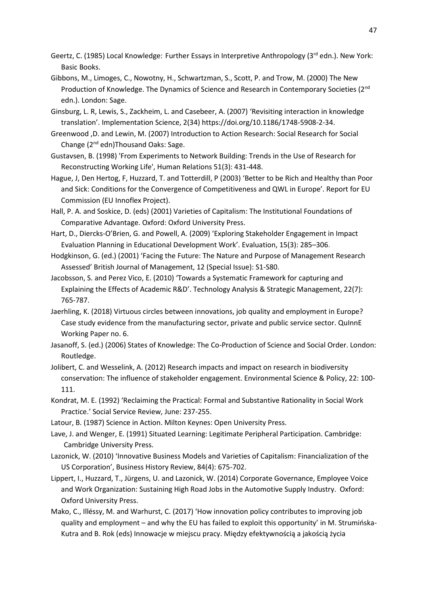- Geertz, C. (1985) Local Knowledge: Further Essays in Interpretive Anthropology (3rd edn.). New York: Basic Books.
- Gibbons, M., Limoges, C., Nowotny, H., Schwartzman, S., Scott, P. and Trow, M. (2000) The New Production of Knowledge. The Dynamics of Science and Research in Contemporary Societies (2<sup>nd</sup> edn.). London: Sage.
- Ginsburg, L. R, Lewis, S., Zackheim, L. and Casebeer, A. (2007) 'Revisiting interaction in knowledge translation'. Implementation Science, 2(34) https://doi.org/10.1186/1748-5908-2-34.
- Greenwood ,D. and Lewin, M. (2007) Introduction to Action Research: Social Research for Social Change (2nd edn)Thousand Oaks: Sage.
- Gustavsen, B. (1998) 'From Experiments to Network Building: Trends in the Use of Research for Reconstructing Working Life', Human Relations 51(3): 431-448.
- Hague, J, Den Hertog, F, Huzzard, T. and Totterdill, P (2003) 'Better to be Rich and Healthy than Poor and Sick: Conditions for the Convergence of Competitiveness and QWL in Europe'. Report for EU Commission (EU Innoflex Project).
- Hall, P. A. and Soskice, D. (eds) (2001) Varieties of Capitalism: The Institutional Foundations of Comparative Advantage. Oxford: Oxford University Press.
- Hart, D., Diercks-O'Brien, G. and Powell, A. (2009) 'Exploring Stakeholder Engagement in Impact Evaluation Planning in Educational Development Work'. Evaluation, 15(3): 285–306.
- Hodgkinson, G. (ed.) (2001) 'Facing the Future: The Nature and Purpose of Management Research Assessed' British Journal of Management, 12 (Special Issue): S1-S80.
- Jacobsson, S. and Perez Vico, E. (2010) 'Towards a Systematic Framework for capturing and Explaining the Effects of Academic R&D'. Technology Analysis & Strategic Management, 22(7): 765-787.
- Jaerhling, K. (2018) Virtuous circles between innovations, job quality and employment in Europe? Case study evidence from the manufacturing sector, private and public service sector. QuInnE Working Paper no. 6.
- Jasanoff, S. (ed.) (2006) States of Knowledge: The Co-Production of Science and Social Order. London: Routledge.
- Jolibert, C. and Wesselink, A. (2012) Research impacts and impact on research in biodiversity conservation: The influence of stakeholder engagement. Environmental Science & Policy, 22: 100- 111.
- Kondrat, M. E. (1992) 'Reclaiming the Practical: Formal and Substantive Rationality in Social Work Practice.' Social Service Review, June: 237-255.
- Latour, B. (1987) Science in Action. Milton Keynes: Open University Press.
- Lave, J. and Wenger, E. (1991) Situated Learning: Legitimate Peripheral Participation. Cambridge: Cambridge University Press.
- Lazonick, W. (2010) 'Innovative Business Models and Varieties of Capitalism: Financialization of the US Corporation', Business History Review, 84(4): 675-702.
- Lippert, I., Huzzard, T., Jürgens, U. and Lazonick, W. (2014) Corporate Governance, Employee Voice and Work Organization: Sustaining High Road Jobs in the Automotive Supply Industry. Oxford: Oxford University Press.
- Mako, C., Illéssy, M. and Warhurst, C. (2017) 'How innovation policy contributes to improving job quality and employment – and why the EU has failed to exploit this opportunity' in M. Strumińska-Kutra and B. Rok (eds) Innowacje w miejscu pracy. Między efektywnością a jakością życia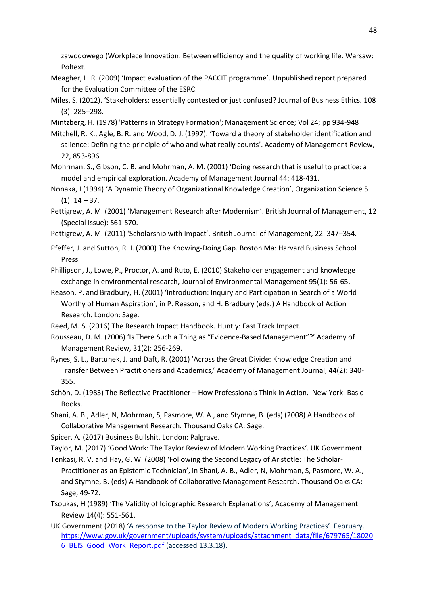zawodowego (Workplace Innovation. Between efficiency and the quality of working life. Warsaw: Poltext.

- Meagher, L. R. (2009) 'Impact evaluation of the PACCIT programme'. Unpublished report prepared for the Evaluation Committee of the ESRC.
- Miles, S. (2012). 'Stakeholders: essentially contested or just confused? Journal of Business Ethics. 108 (3): 285–298.
- Mintzberg, H. (1978) 'Patterns in Strategy Formation'; Management Science; Vol 24; pp 934-948

Mitchell, R. K., Agle, B. R. and Wood, D. J. (1997). 'Toward a theory of stakeholder identification and salience: Defining the principle of who and what really counts'. Academy of Management Review, 22, 853-896*.*

Mohrman, S., Gibson, C. B. and Mohrman, A. M. (2001) 'Doing research that is useful to practice: a model and empirical exploration. Academy of Management Journal 44: 418-431.

Nonaka, I (1994) 'A Dynamic Theory of Organizational Knowledge Creation', Organization Science 5  $(1): 14 - 37.$ 

Pettigrew, A. M. (2001) 'Management Research after Modernism'. British Journal of Management, 12 (Special Issue): S61-S70.

Pettigrew, A. M. (2011) 'Scholarship with Impact'. British Journal of Management, 22: 347–354.

Pfeffer, J. and Sutton, R. I. (2000) The Knowing-Doing Gap*.* Boston Ma: Harvard Business School Press.

Phillipson, J., Lowe, P., Proctor, A. and Ruto, E. (2010) Stakeholder engagement and knowledge exchange in environmental research, Journal of Environmental Management 95(1): 56-65.

Reason, P. and Bradbury, H. (2001) 'Introduction: Inquiry and Participation in Search of a World Worthy of Human Aspiration', in P. Reason, and H. Bradbury (eds.) A Handbook of Action Research. London: Sage.

Reed, M. S. (2016) The Research Impact Handbook. Huntly: Fast Track Impact.

Rousseau, D. M. (2006) 'Is There Such a Thing as "Evidence-Based Management"?' Academy of Management Review, 31(2): 256-269.

Rynes, S. L., Bartunek, J. and Daft, R. (2001) 'Across the Great Divide: Knowledge Creation and Transfer Between Practitioners and Academics,' Academy of Management Journal, 44(2): 340- 355.

Schön, D. (1983) The Reflective Practitioner – How Professionals Think in Action. New York: Basic Books.

Shani, A. B., Adler, N, Mohrman, S, Pasmore, W. A., and Stymne, B. (eds) (2008) A Handbook of Collaborative Management Research. Thousand Oaks CA: Sage.

Spicer, A. (2017) Business Bullshit. London: Palgrave.

Taylor, M. (2017) 'Good Work: The Taylor Review of Modern Working Practices'. UK Government.

Tenkasi, R. V. and Hay, G. W. (2008) 'Following the Second Legacy of Aristotle: The Scholar-Practitioner as an Epistemic Technician', in Shani, A. B., Adler, N, Mohrman, S, Pasmore, W. A., and Stymne, B. (eds) A Handbook of Collaborative Management Research. Thousand Oaks CA: Sage, 49-72.

Tsoukas, H (1989) 'The Validity of Idiographic Research Explanations', Academy of Management Review 14(4): 551-561.

UK Government (2018) 'A response to the Taylor Review of Modern Working Practices'. February. [https://www.gov.uk/government/uploads/system/uploads/attachment\\_data/file/679765/18020](https://www.gov.uk/government/uploads/system/uploads/attachment_data/file/679765/180206_BEIS_Good_Work_Report.pdf) 6 BEIS Good Work Report.pdf (accessed 13.3.18).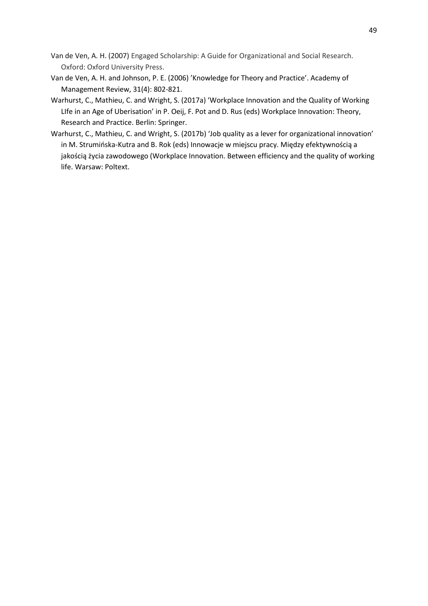- Van de Ven, A. H. (2007) Engaged Scholarship: A Guide for Organizational and Social Research. Oxford: Oxford University Press.
- Van de Ven, A. H. and Johnson, P. E. (2006) 'Knowledge for Theory and Practice'. Academy of Management Review, 31(4): 802-821.
- Warhurst, C., Mathieu, C. and Wright, S. (2017a) 'Workplace Innovation and the Quality of Working LIfe in an Age of Uberisation' in P. Oeij, F. Pot and D. Rus (eds) Workplace Innovation: Theory, Research and Practice. Berlin: Springer.
- Warhurst, C., Mathieu, C. and Wright, S. (2017b) 'Job quality as a lever for organizational innovation' in M. Strumińska-Kutra and B. Rok (eds) Innowacje w miejscu pracy. Między efektywnością a jakością życia zawodowego (Workplace Innovation. Between efficiency and the quality of working life. Warsaw: Poltext.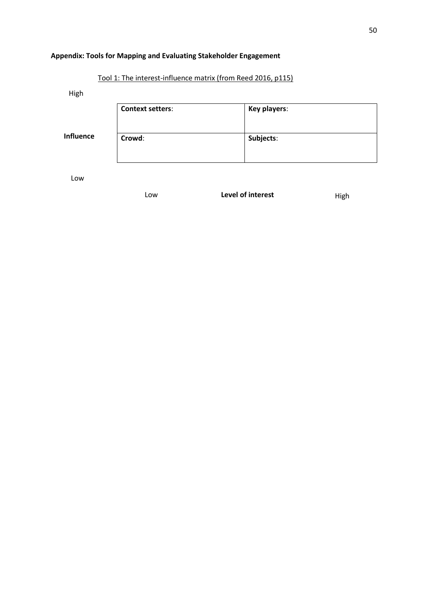# **Appendix: Tools for Mapping and Evaluating Stakeholder Engagement**

Tool 1: The interest-influence matrix (from Reed 2016, p115)

High

|                  | <b>Context setters:</b> | Key players: |
|------------------|-------------------------|--------------|
| <b>Influence</b> | Crowd:                  | Subjects:    |

Low

Low **Level of interest High**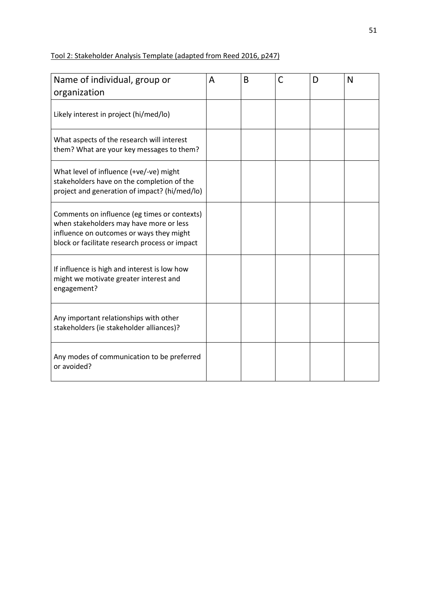# Tool 2: Stakeholder Analysis Template (adapted from Reed 2016, p247)

| Name of individual, group or                                                                                                                                                          | A | B | C | D | N |
|---------------------------------------------------------------------------------------------------------------------------------------------------------------------------------------|---|---|---|---|---|
| organization                                                                                                                                                                          |   |   |   |   |   |
| Likely interest in project (hi/med/lo)                                                                                                                                                |   |   |   |   |   |
| What aspects of the research will interest<br>them? What are your key messages to them?                                                                                               |   |   |   |   |   |
| What level of influence (+ve/-ve) might<br>stakeholders have on the completion of the<br>project and generation of impact? (hi/med/lo)                                                |   |   |   |   |   |
| Comments on influence (eg times or contexts)<br>when stakeholders may have more or less<br>influence on outcomes or ways they might<br>block or facilitate research process or impact |   |   |   |   |   |
| If influence is high and interest is low how<br>might we motivate greater interest and<br>engagement?                                                                                 |   |   |   |   |   |
| Any important relationships with other<br>stakeholders (ie stakeholder alliances)?                                                                                                    |   |   |   |   |   |
| Any modes of communication to be preferred<br>or avoided?                                                                                                                             |   |   |   |   |   |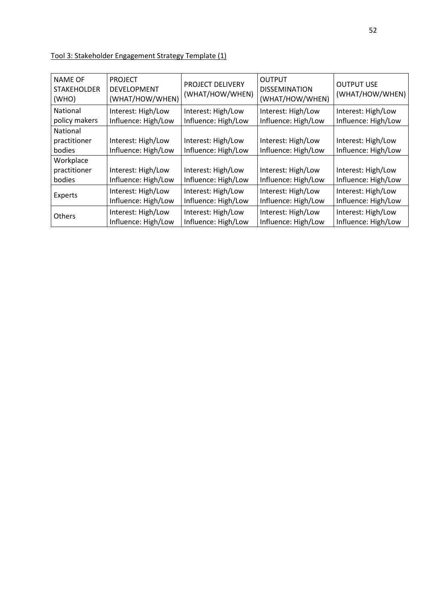| Tool 3: Stakeholder Engagement Strategy Template (1) |
|------------------------------------------------------|
|------------------------------------------------------|

| <b>NAME OF</b><br><b>STAKEHOLDER</b><br>(WHO) | <b>PROJECT</b><br><b>DEVELOPMENT</b><br>(WHAT/HOW/WHEN) | PROJECT DELIVERY<br>(WHAT/HOW/WHEN)       | <b>OUTPUT</b><br><b>DISSEMINATION</b><br>(WHAT/HOW/WHEN) | <b>OUTPUT USE</b><br>(WHAT/HOW/WHEN)      |
|-----------------------------------------------|---------------------------------------------------------|-------------------------------------------|----------------------------------------------------------|-------------------------------------------|
| National<br>policy makers                     | Interest: High/Low<br>Influence: High/Low               | Interest: High/Low<br>Influence: High/Low | Interest: High/Low<br>Influence: High/Low                | Interest: High/Low<br>Influence: High/Low |
| <b>National</b><br>practitioner<br>bodies     | Interest: High/Low<br>Influence: High/Low               | Interest: High/Low<br>Influence: High/Low | Interest: High/Low<br>Influence: High/Low                | Interest: High/Low<br>Influence: High/Low |
| Workplace<br>practitioner<br>bodies           | Interest: High/Low<br>Influence: High/Low               | Interest: High/Low<br>Influence: High/Low | Interest: High/Low<br>Influence: High/Low                | Interest: High/Low<br>Influence: High/Low |
| Experts                                       | Interest: High/Low<br>Influence: High/Low               | Interest: High/Low<br>Influence: High/Low | Interest: High/Low<br>Influence: High/Low                | Interest: High/Low<br>Influence: High/Low |
| <b>Others</b>                                 | Interest: High/Low<br>Influence: High/Low               | Interest: High/Low<br>Influence: High/Low | Interest: High/Low<br>Influence: High/Low                | Interest: High/Low<br>Influence: High/Low |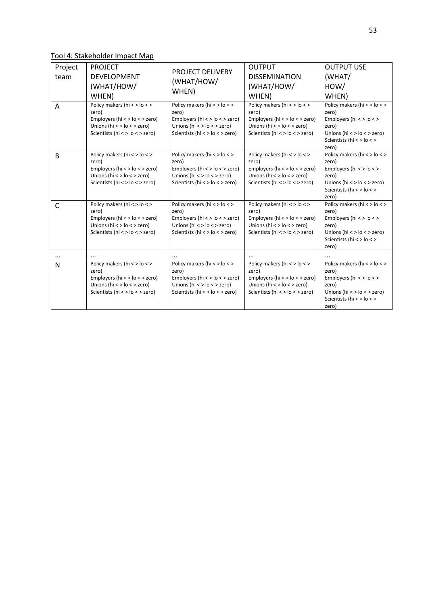Tool 4: Stakeholder Impact Map

| Project<br>team<br>A | <b>PROJECT</b><br><b>DEVELOPMENT</b><br>(WHAT/HOW/<br>WHEN)<br>Policy makers (hi < > lo < ><br>zero)<br>Employers (hi $\lt$ > lo $\lt$ > zero)<br>Unions (hi $\lt$ > lo $\lt$ > zero)<br>Scientists (hi < > $lo$ < > zero) | <b>PROJECT DELIVERY</b><br>(WHAT/HOW/<br>WHEN)<br>Policy makers (hi < > lo < ><br>zero)<br>Employers (hi < > lo < > zero)<br>Unions (hi $\lt$ > lo $\lt$ > zero)<br>Scientists (hi < > lo < > zero) | <b>OUTPUT</b><br><b>DISSEMINATION</b><br>(WHAT/HOW/<br>WHEN)<br>Policy makers (hi < > lo < ><br>zero)<br>Employers (hi $\lt$ > lo $\lt$ > zero)<br>Unions (hi $\lt$ > lo $\lt$ > zero)<br>Scientists (hi < > $lo$ < > zero) | <b>OUTPUT USE</b><br>(WHAT/<br>HOW/<br>WHEN)<br>Policy makers (hi < > lo < ><br>zero)<br>Employers ( $hi$ < > $lo$ < ><br>zero)<br>Unions (hi $\lt$ > lo $\lt$ > zero) |
|----------------------|----------------------------------------------------------------------------------------------------------------------------------------------------------------------------------------------------------------------------|-----------------------------------------------------------------------------------------------------------------------------------------------------------------------------------------------------|-----------------------------------------------------------------------------------------------------------------------------------------------------------------------------------------------------------------------------|------------------------------------------------------------------------------------------------------------------------------------------------------------------------|
|                      |                                                                                                                                                                                                                            |                                                                                                                                                                                                     |                                                                                                                                                                                                                             | Scientists (hi < > lo < ><br>zero)                                                                                                                                     |
| B                    | Policy makers (hi < > lo < ><br>zero)<br>Employers (hi $\lt$ > lo $\lt$ > zero)<br>Unions (hi $\lt$ > lo $\lt$ > zero)<br>Scientists (hi < > lo < > zero)                                                                  | Policy makers (hi < > lo < ><br>zero)<br>Employers (hi $\lt$ > lo $\lt$ > zero)<br>Unions (hi $\lt$ > lo $\lt$ > zero)<br>Scientists (hi < > lo < > zero)                                           | Policy makers (hi < > lo < ><br>zero)<br>Employers (hi $\lt$ > lo $\lt$ > zero)<br>Unions (hi $\lt$ > lo $\lt$ > zero)<br>Scientists (hi < > lo < > zero)                                                                   | Policy makers (hi < > lo < ><br>zero)<br>Employers ( $hi$ < > $lo$ < ><br>zero)<br>Unions (hi $\lt$ > lo $\lt$ > zero)<br>Scientists (hi < > lo < ><br>zero)           |
| C                    | Policy makers (hi < > lo < ><br>zero)<br>Employers (hi $\lt$ > lo $\lt$ > zero)<br>Unions (hi $\lt$ > lo $\lt$ > zero)<br>Scientists (hi < > lo < > zero)                                                                  | Policy makers (hi < > lo < ><br>zero)<br>Employers (hi $\lt$ > lo $\lt$ > zero)<br>Unions ( $hi$ < > $lo$ < > zero)<br>Scientists (hi < > lo < > zero)                                              | Policy makers (hi < > lo < ><br>zero)<br>Employers (hi $\lt$ > lo $\lt$ > zero)<br>Unions (hi $\lt$ > lo $\lt$ > zero)<br>Scientists (hi < > lo < > zero)                                                                   | Policy makers (hi < > lo < ><br>zero)<br>Employers ( $hi$ < > $lo$ < ><br>zero)<br>Unions (hi $\lt$ > lo $\lt$ > zero)<br>Scientists (hi < > lo < ><br>zero)           |
| $\cdots$             |                                                                                                                                                                                                                            |                                                                                                                                                                                                     |                                                                                                                                                                                                                             |                                                                                                                                                                        |
| N                    | Policy makers (hi < > lo < ><br>zero)<br>Employers (hi $\lt$ > lo $\lt$ > zero)<br>Unions (hi $\lt$ > lo $\lt$ > zero)<br>Scientists (hi < > lo < > zero)                                                                  | Policy makers (hi < > lo < ><br>zero)<br>Employers (hi $\lt$ > lo $\lt$ > zero)<br>Unions (hi $\lt$ > lo $\lt$ > zero)<br>Scientists (hi < > lo < > zero)                                           | Policy makers (hi < > lo < ><br>zero)<br>Employers (hi $\lt$ > lo $\lt$ > zero)<br>Unions (hi $\lt$ > lo $\lt$ > zero)<br>Scientists (hi < > lo < > zero)                                                                   | Policy makers (hi < > lo < ><br>zero)<br>Employers ( $hi$ < > $lo$ < ><br>zero)<br>Unions (hi $\lt$ > lo $\lt$ > zero)<br>Scientists (hi < > lo < ><br>zero)           |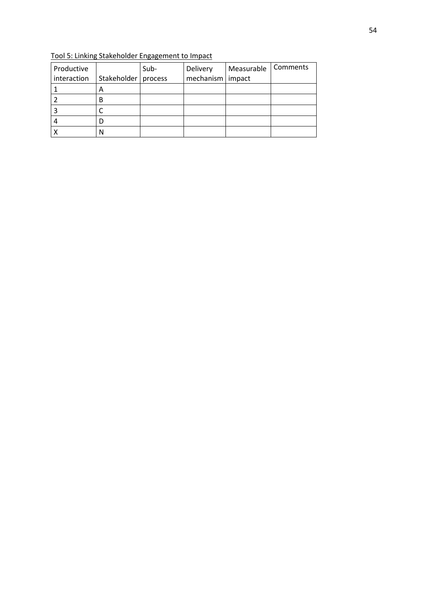| Productive  |                       | Sub- | Delivery           | Measurable | <b>Comments</b> |
|-------------|-----------------------|------|--------------------|------------|-----------------|
| interaction | Stakeholder   process |      | mechanism   impact |            |                 |
|             | Α                     |      |                    |            |                 |
|             | В                     |      |                    |            |                 |
|             |                       |      |                    |            |                 |
|             |                       |      |                    |            |                 |
|             |                       |      |                    |            |                 |

Tool 5: Linking Stakeholder Engagement to Impact